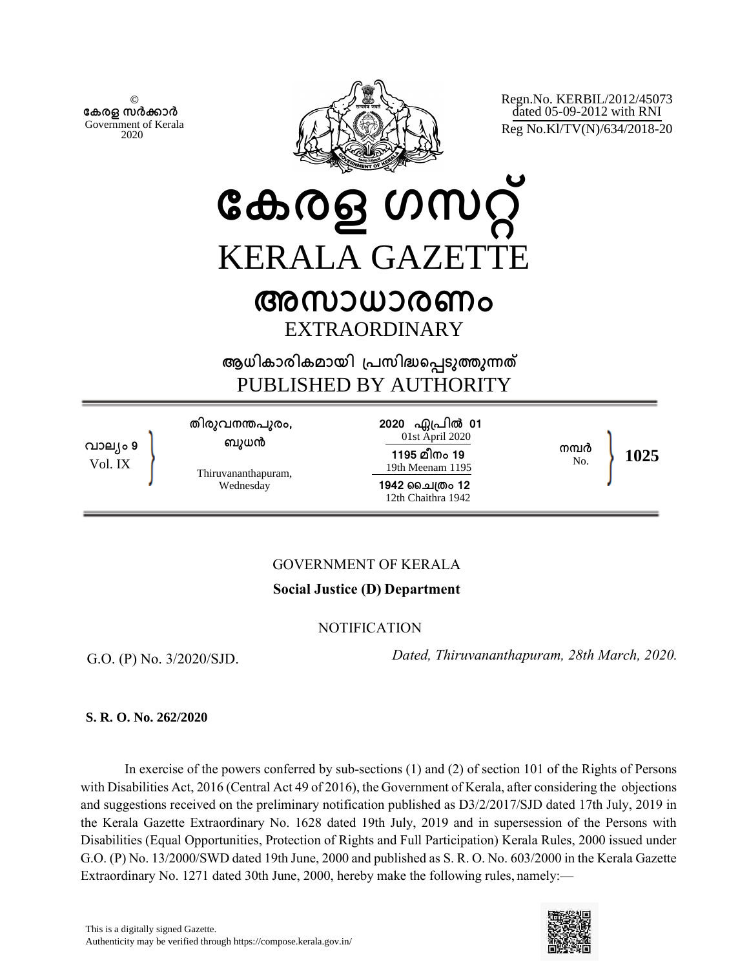© **േകരള സർകാർ** Government of Kerala 2020



Regn.No. KERBIL/2012/45073 dated 05-09-2012 with RNI Reg No.Kl/TV(N)/634/2018-20

**േകരള ഗസറ് KERALA GAZETT** 

# **അസാധാരണം** EXTRAORDINARY

**ആധികാരികമായി ്പസിദെപടുതുനത** PUBLISHED BY AUTHORITY

**വാല്ം 9** Vol. IX **തിരുവനനപുരം, ബുധന** Thiruvananthapuram, Wednesday 2020 ഏപ്രിൽ 01 01st April 2020 **1195 മീനം 19** 19th Meenam 1195 **1942 ൈച്തം 12** 12th Chaithra 1942 **നമർ** No. **1025**

# GOVERNMENT OF KERALA

# **Social Justice (D) Department**

**NOTIFICATION** 

G.O. (P) No. 3/2020/SJD.

 *Dated, Thiruvananthapuram, 28th March, 2020.*

## **S. R. O. No. 262/2020**

In exercise of the powers conferred by sub-sections (1) and (2) of section 101 of the Rights of Persons with Disabilities Act, 2016 (Central Act 49 of 2016), the Government of Kerala, after considering the objections and suggestions received on the preliminary notification published as D3/2/2017/SJD dated 17th July, 2019 in the Kerala Gazette Extraordinary No. 1628 dated 19th July, 2019 and in supersession of the Persons with Disabilities (Equal Opportunities, Protection of Rights and Full Participation) Kerala Rules, 2000 issued under G.O. (P) No. 13/2000/SWD dated 19th June, 2000 and published as S. R. O. No. 603/2000 in the Kerala Gazette Extraordinary No. 1271 dated 30th June, 2000, hereby make the following rules, namely:—

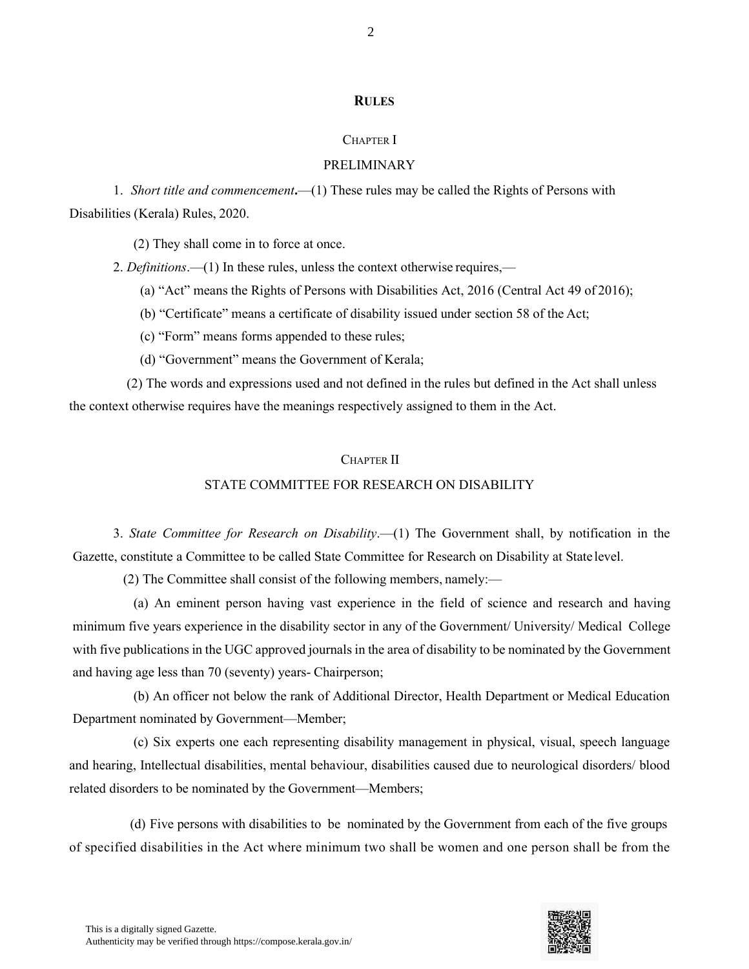#### **RULES**

#### CHAPTER I

#### PRELIMINARY

1. *Short title and commencement***.**—(1) These rules may be called the Rights of Persons with Disabilities (Kerala) Rules, 2020.

(2) They shall come in to force at once.

2. *Definitions*.—(1) In these rules, unless the context otherwise requires,—

(a) "Act" means the Rights of Persons with Disabilities Act, 2016 (Central Act 49 of 2016);

(b) "Certificate" means a certificate of disability issued under section 58 of the Act;

(c) "Form" means forms appended to these rules;

(d) "Government" means the Government of Kerala;

(2) The words and expressions used and not defined in the rules but defined in the Act shall unless the context otherwise requires have the meanings respectively assigned to them in the Act.

#### CHAPTER II

#### STATE COMMITTEE FOR RESEARCH ON DISABILITY

3. *State Committee for Research on Disability*.—(1) The Government shall, by notification in the Gazette, constitute a Committee to be called State Committee for Research on Disability at State level.

(2) The Committee shall consist of the following members, namely:—

(a) An eminent person having vast experience in the field of science and research and having minimum five years experience in the disability sector in any of the Government/ University/ Medical College with five publications in the UGC approved journals in the area of disability to be nominated by the Government and having age less than 70 (seventy) years- Chairperson;

(b) An officer not below the rank of Additional Director, Health Department or Medical Education Department nominated by Government—Member;

(c) Six experts one each representing disability management in physical, visual, speech language and hearing, Intellectual disabilities, mental behaviour, disabilities caused due to neurological disorders/ blood related disorders to be nominated by the Government—Members;

(d) Five persons with disabilities to be nominated by the Government from each of the five groups of specified disabilities in the Act where minimum two shall be women and one person shall be from the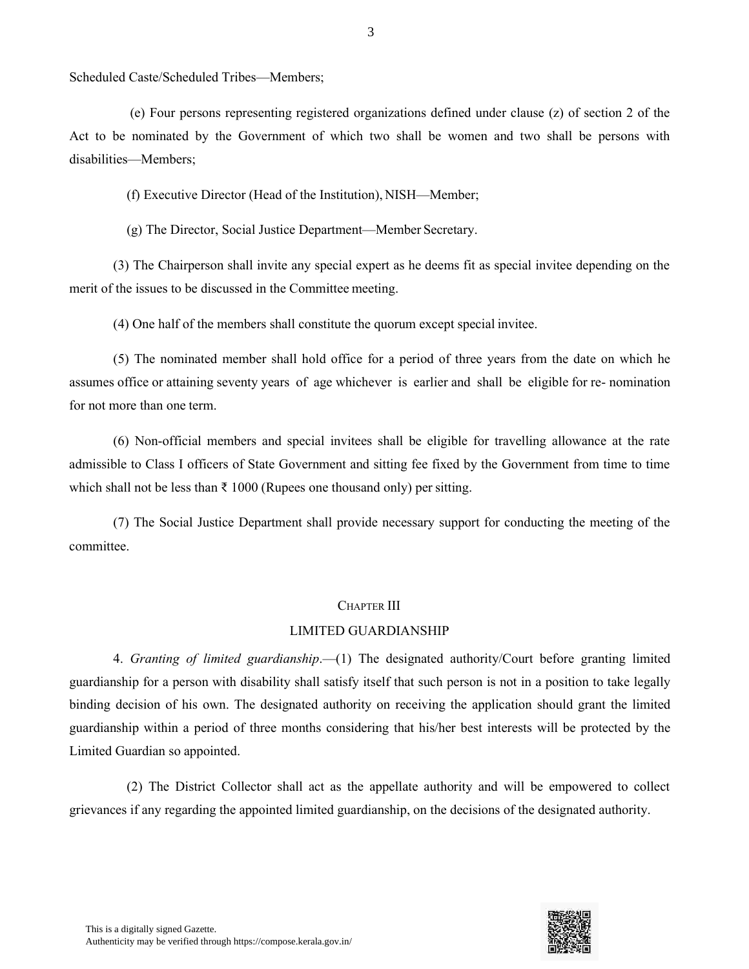Scheduled Caste/Scheduled Tribes—Members;

(e) Four persons representing registered organizations defined under clause (z) of section 2 of the Act to be nominated by the Government of which two shall be women and two shall be persons with disabilities—Members;

(f) Executive Director (Head of the Institution), NISH—Member;

(g) The Director, Social Justice Department—Member Secretary.

(3) The Chairperson shall invite any special expert as he deems fit as special invitee depending on the merit of the issues to be discussed in the Committee meeting.

(4) One half of the members shall constitute the quorum except special invitee.

(5) The nominated member shall hold office for a period of three years from the date on which he assumes office or attaining seventy years of age whichever is earlier and shall be eligible for re- nomination for not more than one term.

(6) Non-official members and special invitees shall be eligible for travelling allowance at the rate admissible to Class I officers of State Government and sitting fee fixed by the Government from time to time which shall not be less than  $\bar{\tau}$  1000 (Rupees one thousand only) per sitting.

(7) The Social Justice Department shall provide necessary support for conducting the meeting of the committee.

#### CHAPTER III

#### LIMITED GUARDIANSHIP

4. *Granting of limited guardianship*.—(1) The designated authority/Court before granting limited guardianship for a person with disability shall satisfy itself that such person is not in a position to take legally binding decision of his own. The designated authority on receiving the application should grant the limited guardianship within a period of three months considering that his/her best interests will be protected by the Limited Guardian so appointed.

(2) The District Collector shall act as the appellate authority and will be empowered to collect grievances if any regarding the appointed limited guardianship, on the decisions of the designated authority.

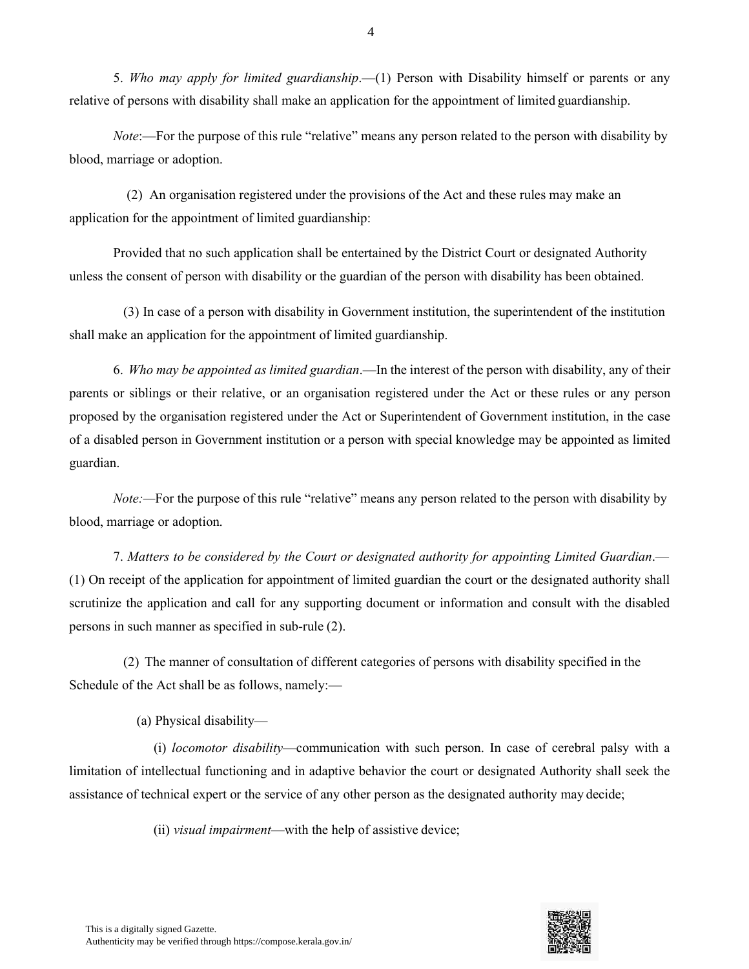5. *Who may apply for limited guardianship*.—(1) Person with Disability himself or parents or any relative of persons with disability shall make an application for the appointment of limited guardianship.

*Note*:—For the purpose of this rule "relative" means any person related to the person with disability by blood, marriage or adoption.

(2) An organisation registered under the provisions of the Act and these rules may make an application for the appointment of limited guardianship:

Provided that no such application shall be entertained by the District Court or designated Authority unless the consent of person with disability or the guardian of the person with disability has been obtained.

(3) In case of a person with disability in Government institution, the superintendent of the institution shall make an application for the appointment of limited guardianship.

6. *Who may be appointed as limited guardian*.—In the interest of the person with disability, any of their parents or siblings or their relative, or an organisation registered under the Act or these rules or any person proposed by the organisation registered under the Act or Superintendent of Government institution, in the case of a disabled person in Government institution or a person with special knowledge may be appointed as limited guardian.

*Note:*—For the purpose of this rule "relative" means any person related to the person with disability by blood, marriage or adoption.

7. *Matters to be considered by the Court or designated authority for appointing Limited Guardian*.— (1) On receipt of the application for appointment of limited guardian the court or the designated authority shall scrutinize the application and call for any supporting document or information and consult with the disabled persons in such manner as specified in sub-rule (2).

(2) The manner of consultation of different categories of persons with disability specified in the Schedule of the Act shall be as follows, namely:—

(a) Physical disability—

(i) *locomotor disability*—communication with such person. In case of cerebral palsy with a limitation of intellectual functioning and in adaptive behavior the court or designated Authority shall seek the assistance of technical expert or the service of any other person as the designated authority may decide;

(ii) *visual impairment*—with the help of assistive device;

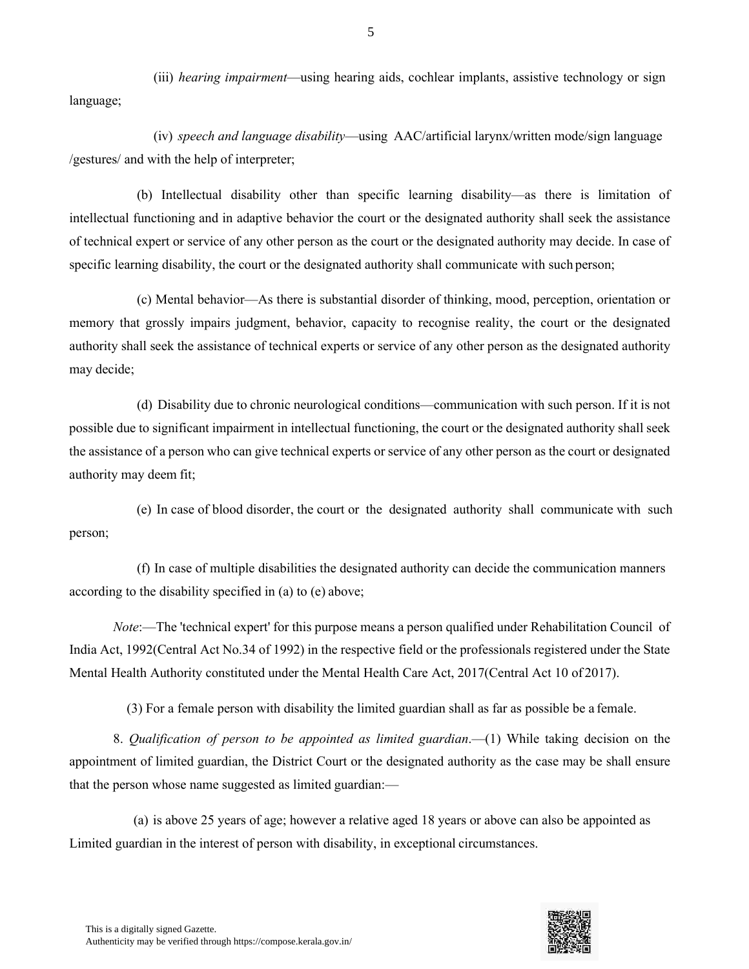(iii) *hearing impairment*—using hearing aids, cochlear implants, assistive technology or sign language;

(iv) *speech and language disability*—using AAC/artificial larynx/written mode/sign language /gestures/ and with the help of interpreter;

(b) Intellectual disability other than specific learning disability—as there is limitation of intellectual functioning and in adaptive behavior the court or the designated authority shall seek the assistance of technical expert or service of any other person as the court or the designated authority may decide. In case of specific learning disability, the court or the designated authority shall communicate with such person;

(c) Mental behavior—As there is substantial disorder of thinking, mood, perception, orientation or memory that grossly impairs judgment, behavior, capacity to recognise reality, the court or the designated authority shall seek the assistance of technical experts or service of any other person as the designated authority may decide;

(d) Disability due to chronic neurological conditions—communication with such person. If it is not possible due to significant impairment in intellectual functioning, the court or the designated authority shall seek the assistance of a person who can give technical experts or service of any other person as the court or designated authority may deem fit;

(e) In case of blood disorder, the court or the designated authority shall communicate with such person;

(f) In case of multiple disabilities the designated authority can decide the communication manners according to the disability specified in (a) to (e) above;

*Note*:—The 'technical expert' for this purpose means a person qualified under Rehabilitation Council of India Act, 1992(Central Act No.34 of 1992) in the respective field or the professionals registered under the State Mental Health Authority constituted under the Mental Health Care Act, 2017(Central Act 10 of 2017).

(3) For a female person with disability the limited guardian shall as far as possible be a female.

8. *Qualification of person to be appointed as limited guardian*.—(1) While taking decision on the appointment of limited guardian, the District Court or the designated authority as the case may be shall ensure that the person whose name suggested as limited guardian:—

(a) is above 25 years of age; however a relative aged 18 years or above can also be appointed as Limited guardian in the interest of person with disability, in exceptional circumstances.

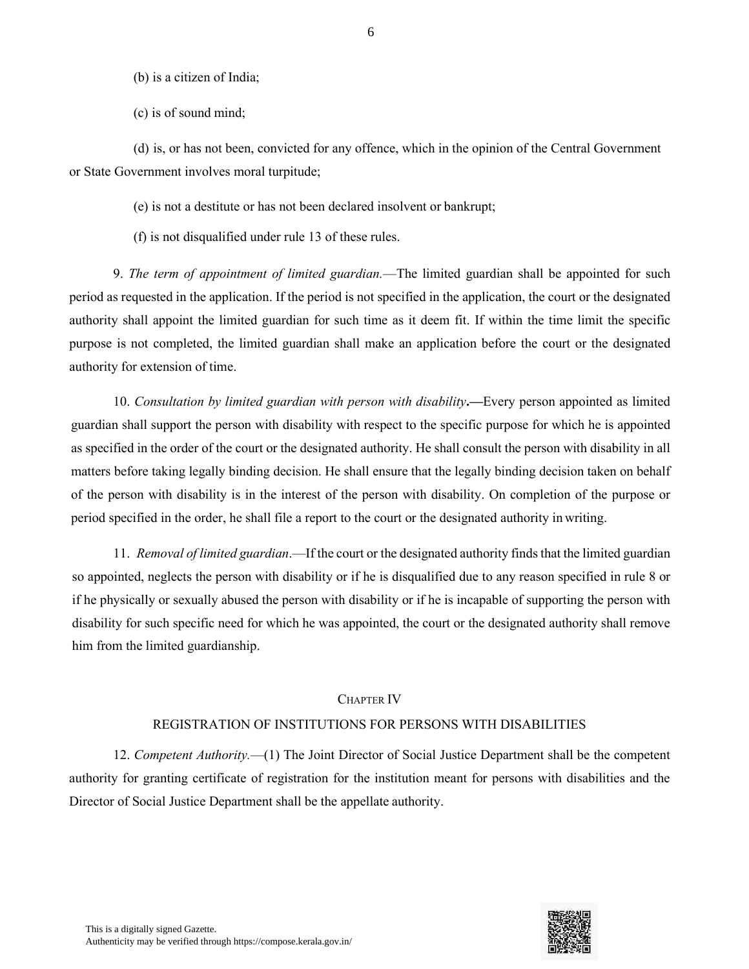(b) is a citizen of India;

(c) is of sound mind;

(d) is, or has not been, convicted for any offence, which in the opinion of the Central Government or State Government involves moral turpitude;

(e) is not a destitute or has not been declared insolvent or bankrupt;

(f) is not disqualified under rule 13 of these rules.

9. *The term of appointment of limited guardian.*—The limited guardian shall be appointed for such period as requested in the application. If the period is not specified in the application, the court or the designated authority shall appoint the limited guardian for such time as it deem fit. If within the time limit the specific purpose is not completed, the limited guardian shall make an application before the court or the designated authority for extension of time.

10. *Consultation by limited guardian with person with disability***.—**Every person appointed as limited guardian shall support the person with disability with respect to the specific purpose for which he is appointed as specified in the order of the court or the designated authority. He shall consult the person with disability in all matters before taking legally binding decision. He shall ensure that the legally binding decision taken on behalf of the person with disability is in the interest of the person with disability. On completion of the purpose or period specified in the order, he shall file a report to the court or the designated authority inwriting.

11. *Removal of limited guardian*.—If the court or the designated authority finds that the limited guardian so appointed, neglects the person with disability or if he is disqualified due to any reason specified in rule 8 or if he physically or sexually abused the person with disability or if he is incapable of supporting the person with disability for such specific need for which he was appointed, the court or the designated authority shall remove him from the limited guardianship.

#### CHAPTER IV

#### REGISTRATION OF INSTITUTIONS FOR PERSONS WITH DISABILITIES

12. *Competent Authority.*—(1) The Joint Director of Social Justice Department shall be the competent authority for granting certificate of registration for the institution meant for persons with disabilities and the Director of Social Justice Department shall be the appellate authority.

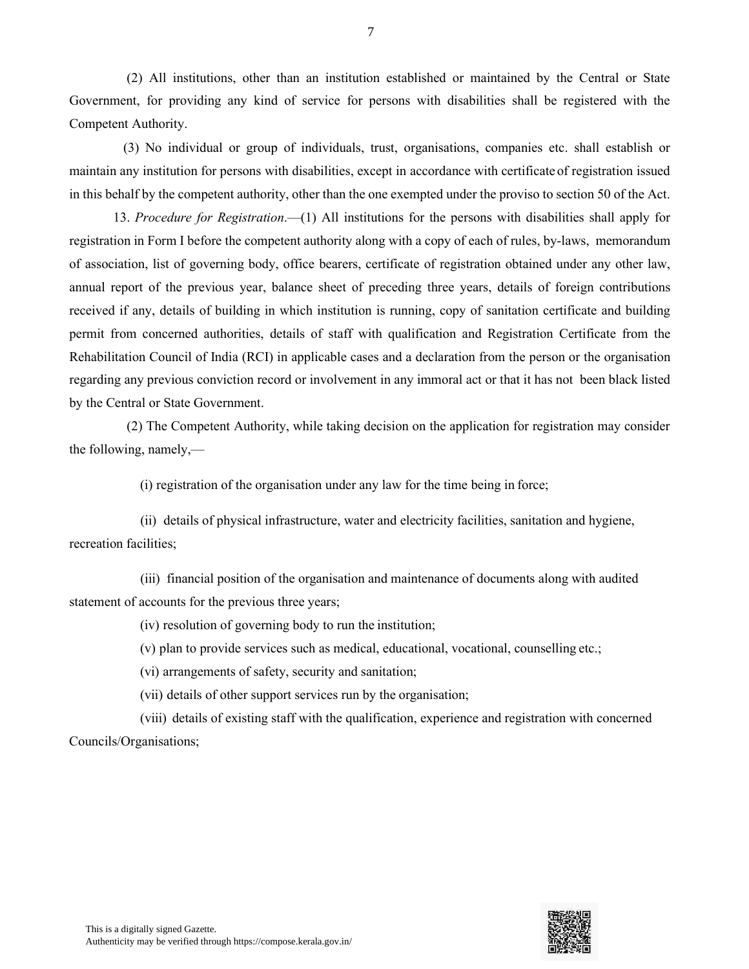(2) All institutions, other than an institution established or maintained by the Central or State Government, for providing any kind of service for persons with disabilities shall be registered with the Competent Authority.

(3) No individual or group of individuals, trust, organisations, companies etc. shall establish or maintain any institution for persons with disabilities, except in accordance with certificate of registration issued in this behalf by the competent authority, other than the one exempted under the proviso to section 50 of the Act.

13. *Procedure for Registration*.—(1) All institutions for the persons with disabilities shall apply for registration in Form I before the competent authority along with a copy of each of rules, by-laws, memorandum of association, list of governing body, office bearers, certificate of registration obtained under any other law, annual report of the previous year, balance sheet of preceding three years, details of foreign contributions received if any, details of building in which institution is running, copy of sanitation certificate and building permit from concerned authorities, details of staff with qualification and Registration Certificate from the Rehabilitation Council of India (RCI) in applicable cases and a declaration from the person or the organisation regarding any previous conviction record or involvement in any immoral act or that it has not been black listed by the Central or State Government.

(2) The Competent Authority, while taking decision on the application for registration may consider the following, namely,—

(i) registration of the organisation under any law for the time being in force;

(ii) details of physical infrastructure, water and electricity facilities, sanitation and hygiene, recreation facilities;

(iii) financial position of the organisation and maintenance of documents along with audited statement of accounts for the previous three years;

(iv) resolution of governing body to run the institution;

(v) plan to provide services such as medical, educational, vocational, counselling etc.;

(vi) arrangements of safety, security and sanitation;

(vii) details of other support services run by the organisation;

(viii) details of existing staff with the qualification, experience and registration with concerned Councils/Organisations;

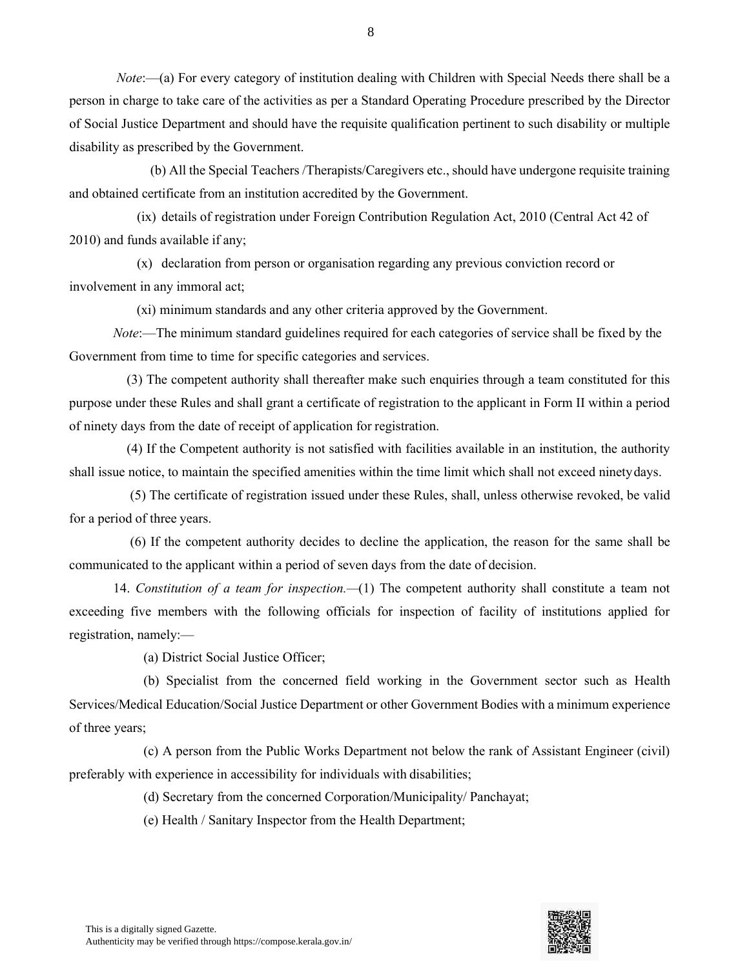*Note*:—(a) For every category of institution dealing with Children with Special Needs there shall be a person in charge to take care of the activities as per a Standard Operating Procedure prescribed by the Director of Social Justice Department and should have the requisite qualification pertinent to such disability or multiple disability as prescribed by the Government.

(b) All the Special Teachers /Therapists/Caregivers etc., should have undergone requisite training and obtained certificate from an institution accredited by the Government.

(ix) details of registration under Foreign Contribution Regulation Act, 2010 (Central Act 42 of 2010) and funds available if any;

(x) declaration from person or organisation regarding any previous conviction record or involvement in any immoral act;

(xi) minimum standards and any other criteria approved by the Government.

*Note*:—The minimum standard guidelines required for each categories of service shall be fixed by the Government from time to time for specific categories and services.

(3) The competent authority shall thereafter make such enquiries through a team constituted for this purpose under these Rules and shall grant a certificate of registration to the applicant in Form II within a period of ninety days from the date of receipt of application for registration.

(4) If the Competent authority is not satisfied with facilities available in an institution, the authority shall issue notice, to maintain the specified amenities within the time limit which shall not exceed ninetydays.

(5) The certificate of registration issued under these Rules, shall, unless otherwise revoked, be valid for a period of three years.

(6) If the competent authority decides to decline the application, the reason for the same shall be communicated to the applicant within a period of seven days from the date of decision.

14. *Constitution of a team for inspection.—*(1) The competent authority shall constitute a team not exceeding five members with the following officials for inspection of facility of institutions applied for registration, namely:—

(a) District Social Justice Officer;

(b) Specialist from the concerned field working in the Government sector such as Health Services/Medical Education/Social Justice Department or other Government Bodies with a minimum experience of three years;

(c) A person from the Public Works Department not below the rank of Assistant Engineer (civil) preferably with experience in accessibility for individuals with disabilities;

(d) Secretary from the concerned Corporation/Municipality/ Panchayat;

(e) Health / Sanitary Inspector from the Health Department;

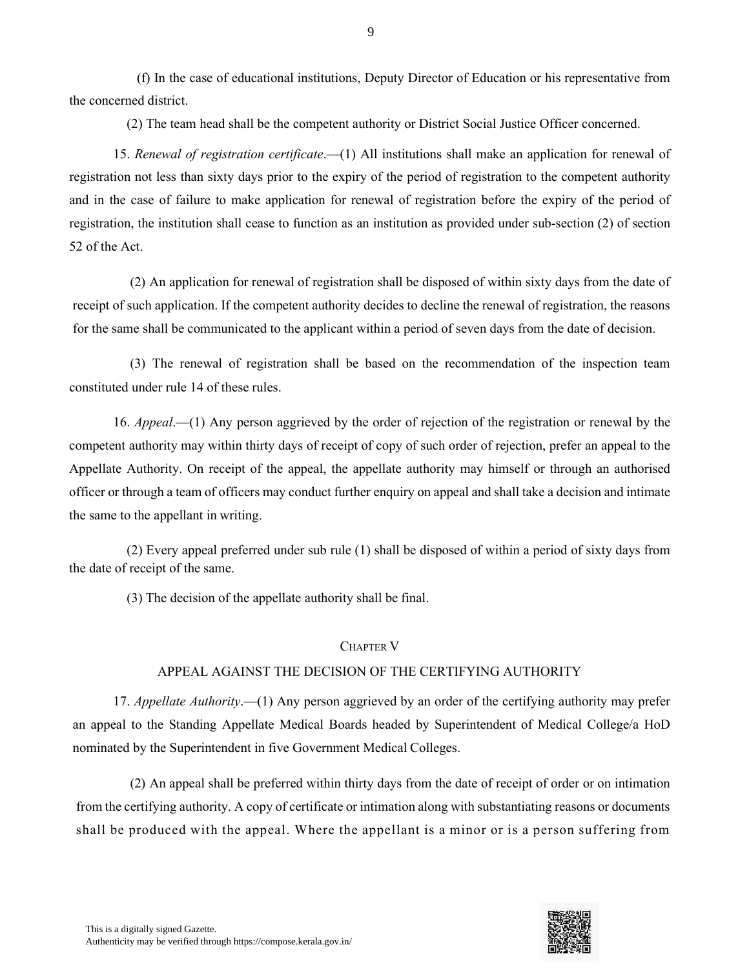(f) In the case of educational institutions, Deputy Director of Education or his representative from the concerned district.

(2) The team head shall be the competent authority or District Social Justice Officer concerned.

15. *Renewal of registration certificate*.—(1) All institutions shall make an application for renewal of registration not less than sixty days prior to the expiry of the period of registration to the competent authority and in the case of failure to make application for renewal of registration before the expiry of the period of registration, the institution shall cease to function as an institution as provided under sub-section (2) of section 52 of the Act.

(2) An application for renewal of registration shall be disposed of within sixty days from the date of receipt of such application. If the competent authority decides to decline the renewal of registration, the reasons for the same shall be communicated to the applicant within a period of seven days from the date of decision.

(3) The renewal of registration shall be based on the recommendation of the inspection team constituted under rule 14 of these rules.

16. *Appeal*.—(1) Any person aggrieved by the order of rejection of the registration or renewal by the competent authority may within thirty days of receipt of copy of such order of rejection, prefer an appeal to the Appellate Authority. On receipt of the appeal, the appellate authority may himself or through an authorised officer or through a team of officers may conduct further enquiry on appeal and shall take a decision and intimate the same to the appellant in writing.

(2) Every appeal preferred under sub rule (1) shall be disposed of within a period of sixty days from the date of receipt of the same.

(3) The decision of the appellate authority shall be final.

#### CHAPTER V

#### APPEAL AGAINST THE DECISION OF THE CERTIFYING AUTHORITY

17. *Appellate Authority*.—(1) Any person aggrieved by an order of the certifying authority may prefer an appeal to the Standing Appellate Medical Boards headed by Superintendent of Medical College/a HoD nominated by the Superintendent in five Government Medical Colleges.

(2) An appeal shall be preferred within thirty days from the date of receipt of order or on intimation from the certifying authority. A copy of certificate or intimation along with substantiating reasons or documents shall be produced with the appeal. Where the appellant is a minor or is a person suffering from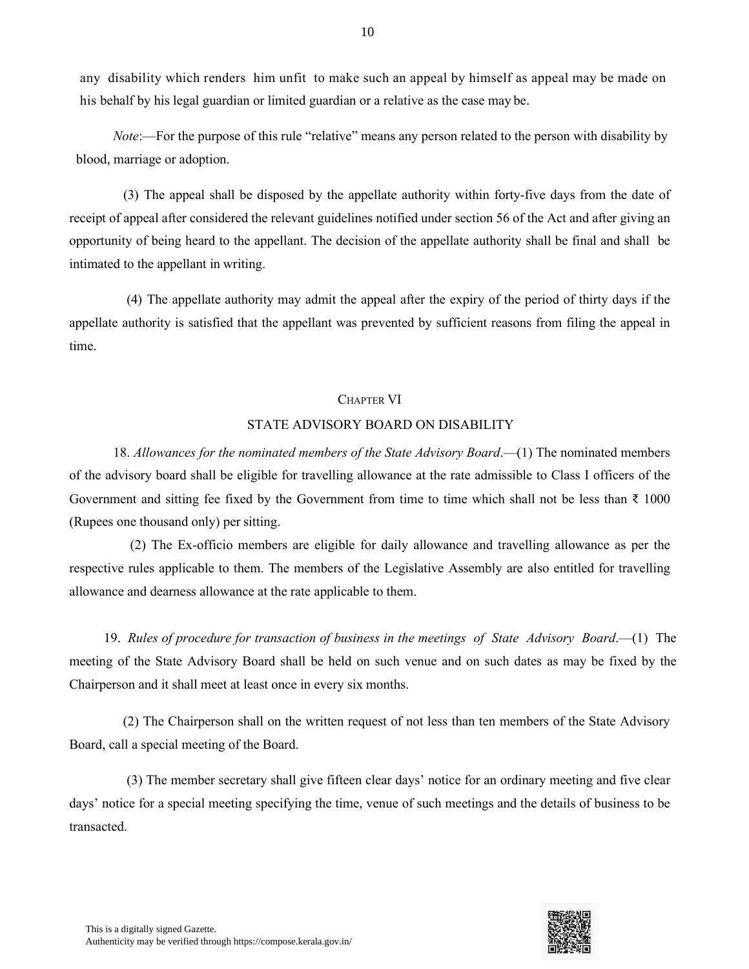any disability which renders him unfit to make such an appeal by himself as appeal may be made on his behalf by his legal guardian or limited guardian or a relative as the case may be.

*Note*:—For the purpose of this rule "relative" means any person related to the person with disability by blood, marriage or adoption.

(3) The appeal shall be disposed by the appellate authority within forty-five days from the date of receipt of appeal after considered the relevant guidelines notified under section 56 of the Act and after giving an opportunity of being heard to the appellant. The decision of the appellate authority shall be final and shall be intimated to the appellant in writing.

(4) The appellate authority may admit the appeal after the expiry of the period of thirty days if the appellate authority is satisfied that the appellant was prevented by sufficient reasons from filing the appeal in time.

#### CHAPTER VI

#### STATE ADVISORY BOARD ON DISABILITY

18. *Allowances for the nominated members of the State Advisory Board*.—(1) The nominated members of the advisory board shall be eligible for travelling allowance at the rate admissible to Class I officers of the Government and sitting fee fixed by the Government from time to time which shall not be less than  $\bar{\tau}$  1000 (Rupees one thousand only) per sitting.

(2) The Ex-officio members are eligible for daily allowance and travelling allowance as per the respective rules applicable to them. The members of the Legislative Assembly are also entitled for travelling allowance and dearness allowance at the rate applicable to them.

19. *Rules of procedure for transaction of business in the meetings of State Advisory Board*.—(1) The meeting of the State Advisory Board shall be held on such venue and on such dates as may be fixed by the Chairperson and it shall meet at least once in every six months.

(2) The Chairperson shall on the written request of not less than ten members of the State Advisory Board, call a special meeting of the Board.

(3) The member secretary shall give fifteen clear days' notice for an ordinary meeting and five clear days' notice for a special meeting specifying the time, venue of such meetings and the details of business to be transacted.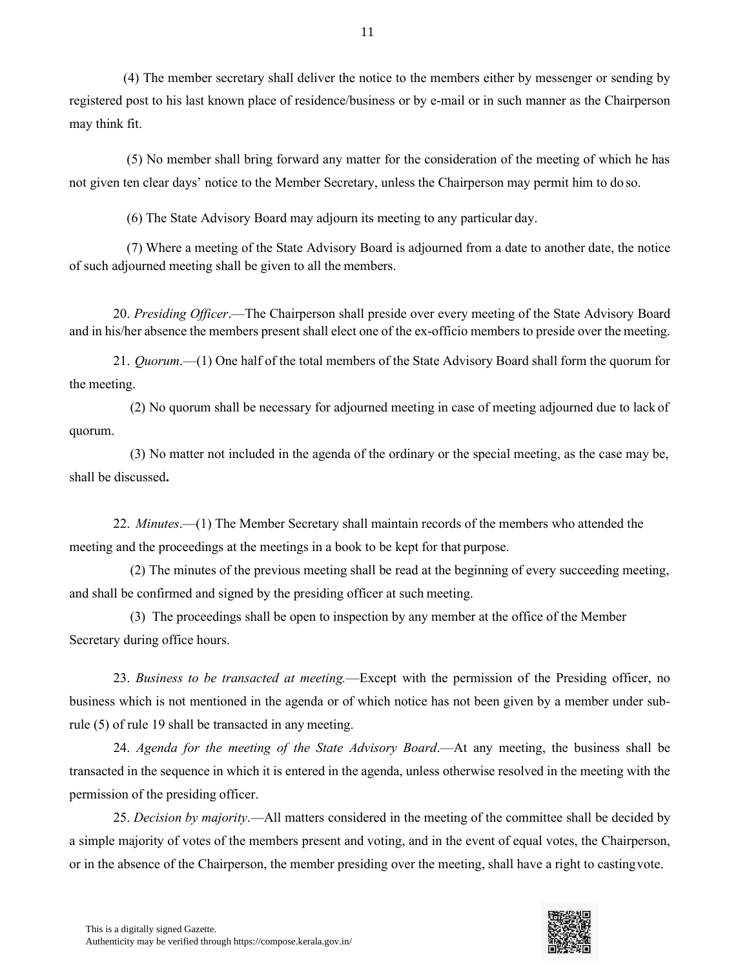(4) The member secretary shall deliver the notice to the members either by messenger or sending by registered post to his last known place of residence/business or by e-mail or in such manner as the Chairperson may think fit.

(5) No member shall bring forward any matter for the consideration of the meeting of which he has not given ten clear days' notice to the Member Secretary, unless the Chairperson may permit him to do so.

(6) The State Advisory Board may adjourn its meeting to any particular day.

(7) Where a meeting of the State Advisory Board is adjourned from a date to another date, the notice of such adjourned meeting shall be given to all the members.

20. *Presiding Officer*.—The Chairperson shall preside over every meeting of the State Advisory Board and in his/her absence the members present shall elect one of the ex-officio members to preside over the meeting.

21. *Quorum*.—(1) One half of the total members of the State Advisory Board shall form the quorum for the meeting.

(2) No quorum shall be necessary for adjourned meeting in case of meeting adjourned due to lack of quorum.

(3) No matter not included in the agenda of the ordinary or the special meeting, as the case may be, shall be discussed**.**

22. *Minutes*.—(1) The Member Secretary shall maintain records of the members who attended the meeting and the proceedings at the meetings in a book to be kept for that purpose.

(2) The minutes of the previous meeting shall be read at the beginning of every succeeding meeting, and shall be confirmed and signed by the presiding officer at such meeting.

(3) The proceedings shall be open to inspection by any member at the office of the Member Secretary during office hours.

23. *Business to be transacted at meeting.*—Except with the permission of the Presiding officer, no business which is not mentioned in the agenda or of which notice has not been given by a member under subrule (5) of rule 19 shall be transacted in any meeting.

24. *Agenda for the meeting of the State Advisory Board*.—At any meeting, the business shall be transacted in the sequence in which it is entered in the agenda, unless otherwise resolved in the meeting with the permission of the presiding officer.

25. *Decision by majority*.—All matters considered in the meeting of the committee shall be decided by a simple majority of votes of the members present and voting, and in the event of equal votes, the Chairperson, or in the absence of the Chairperson, the member presiding over the meeting, shall have a right to castingvote.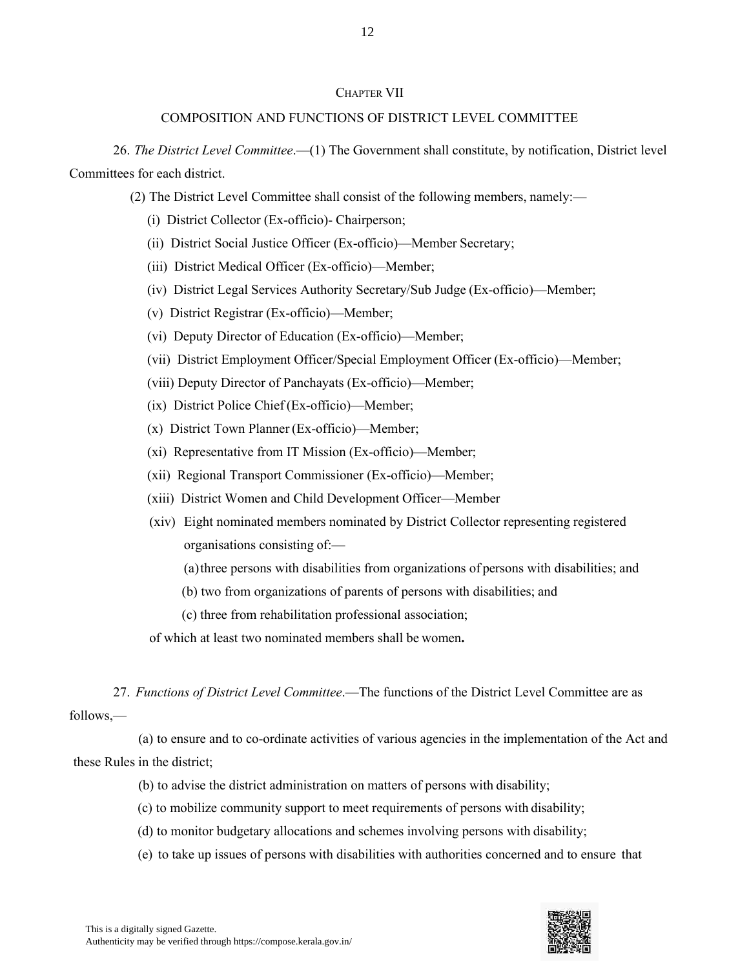#### CHAPTER VII

#### COMPOSITION AND FUNCTIONS OF DISTRICT LEVEL COMMITTEE

26. *The District Level Committee*.—(1) The Government shall constitute, by notification, District level Committees for each district.

- (2) The District Level Committee shall consist of the following members, namely:—
	- (i) District Collector (Ex-officio)- Chairperson;
	- (ii) District Social Justice Officer (Ex-officio)—Member Secretary;
	- (iii) District Medical Officer (Ex-officio)—Member;
	- (iv) District Legal Services Authority Secretary/Sub Judge (Ex-officio)—Member;
	- (v) District Registrar (Ex-officio)—Member;
	- (vi) Deputy Director of Education (Ex-officio)—Member;
	- (vii) District Employment Officer/Special Employment Officer (Ex-officio)—Member;
	- (viii) Deputy Director of Panchayats (Ex-officio)—Member;
	- (ix) District Police Chief(Ex-officio)—Member;
	- (x) District Town Planner (Ex-officio)—Member;
	- (xi) Representative from IT Mission (Ex-officio)—Member;
	- (xii) Regional Transport Commissioner (Ex-officio)—Member;
	- (xiii) District Women and Child Development Officer—Member
	- (xiv) Eight nominated members nominated by District Collector representing registered organisations consisting of:—
		- (a)three persons with disabilities from organizations of persons with disabilities; and
		- (b) two from organizations of parents of persons with disabilities; and
		- (c) three from rehabilitation professional association;
	- of which at least two nominated members shall be women**.**

27. *Functions of District Level Committee*.—The functions of the District Level Committee are as follows,—

(a) to ensure and to co-ordinate activities of various agencies in the implementation of the Act and these Rules in the district;

- (b) to advise the district administration on matters of persons with disability;
- (c) to mobilize community support to meet requirements of persons with disability;
- (d) to monitor budgetary allocations and schemes involving persons with disability;
- (e) to take up issues of persons with disabilities with authorities concerned and to ensure that

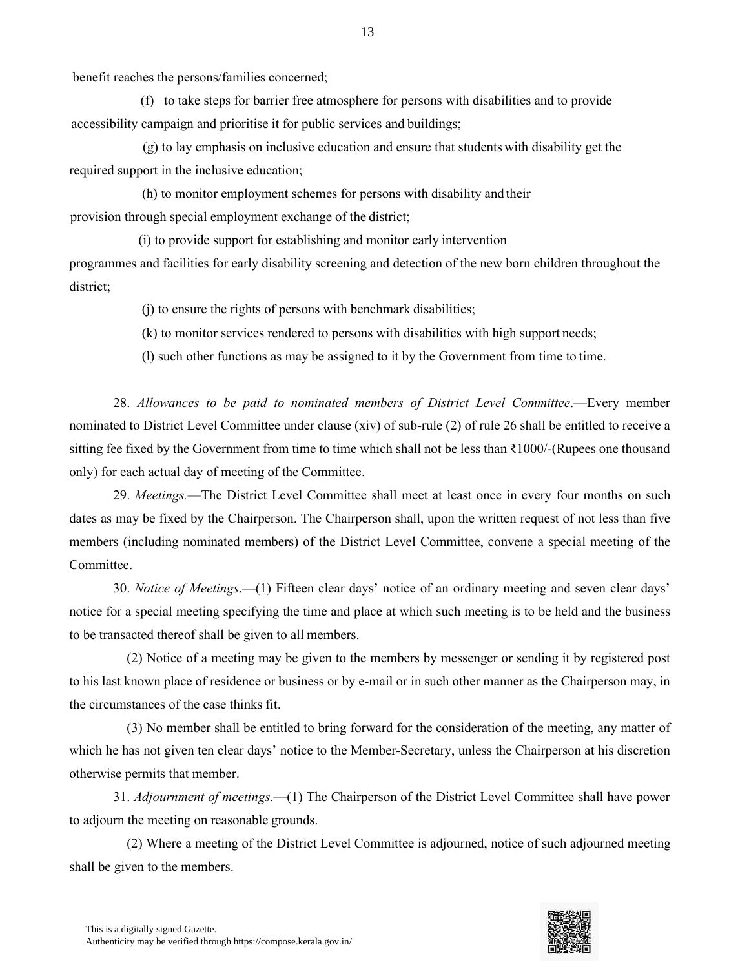benefit reaches the persons/families concerned;

(f) to take steps for barrier free atmosphere for persons with disabilities and to provide accessibility campaign and prioritise it for public services and buildings;

(g) to lay emphasis on inclusive education and ensure that students with disability get the required support in the inclusive education;

(h) to monitor employment schemes for persons with disability and their provision through special employment exchange of the district;

(i) to provide support for establishing and monitor early intervention programmes and facilities for early disability screening and detection of the new born children throughout the district;

(j) to ensure the rights of persons with benchmark disabilities;

(k) to monitor services rendered to persons with disabilities with high support needs;

(l) such other functions as may be assigned to it by the Government from time to time.

28. *Allowances to be paid to nominated members of District Level Committee*.—Every member nominated to District Level Committee under clause (xiv) of sub-rule (2) of rule 26 shall be entitled to receive a sitting fee fixed by the Government from time to time which shall not be less than ₹1000/-(Rupees one thousand only) for each actual day of meeting of the Committee.

29. *Meetings.*—The District Level Committee shall meet at least once in every four months on such dates as may be fixed by the Chairperson. The Chairperson shall, upon the written request of not less than five members (including nominated members) of the District Level Committee, convene a special meeting of the Committee.

30. *Notice of Meetings*.—(1) Fifteen clear days' notice of an ordinary meeting and seven clear days' notice for a special meeting specifying the time and place at which such meeting is to be held and the business to be transacted thereof shall be given to all members.

(2) Notice of a meeting may be given to the members by messenger or sending it by registered post to his last known place of residence or business or by e-mail or in such other manner as the Chairperson may, in the circumstances of the case thinks fit.

(3) No member shall be entitled to bring forward for the consideration of the meeting, any matter of which he has not given ten clear days' notice to the Member-Secretary, unless the Chairperson at his discretion otherwise permits that member.

31. *Adjournment of meetings*.—(1) The Chairperson of the District Level Committee shall have power to adjourn the meeting on reasonable grounds.

(2) Where a meeting of the District Level Committee is adjourned, notice of such adjourned meeting shall be given to the members.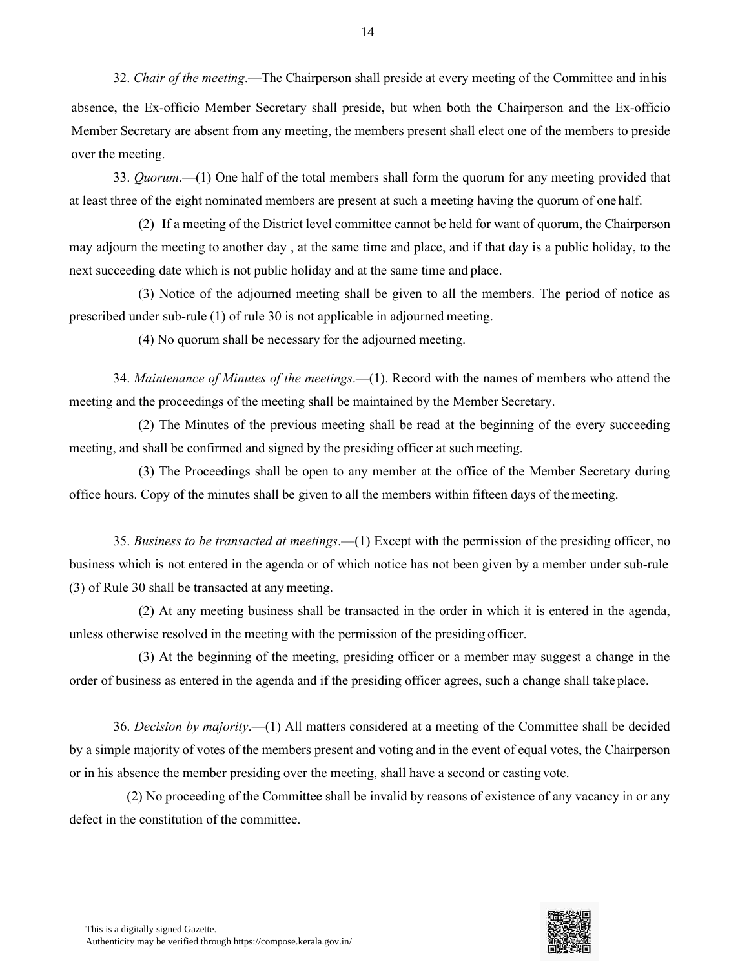32. *Chair of the meeting*.—The Chairperson shall preside at every meeting of the Committee and inhis absence, the Ex-officio Member Secretary shall preside, but when both the Chairperson and the Ex-officio Member Secretary are absent from any meeting, the members present shall elect one of the members to preside over the meeting.

33. *Quorum*.—(1) One half of the total members shall form the quorum for any meeting provided that at least three of the eight nominated members are present at such a meeting having the quorum of one half.

(2) If a meeting of the District level committee cannot be held for want of quorum, the Chairperson may adjourn the meeting to another day , at the same time and place, and if that day is a public holiday, to the next succeeding date which is not public holiday and at the same time and place.

(3) Notice of the adjourned meeting shall be given to all the members. The period of notice as prescribed under sub-rule (1) of rule 30 is not applicable in adjourned meeting.

(4) No quorum shall be necessary for the adjourned meeting.

34. *Maintenance of Minutes of the meetings*.—(1). Record with the names of members who attend the meeting and the proceedings of the meeting shall be maintained by the Member Secretary.

(2) The Minutes of the previous meeting shall be read at the beginning of the every succeeding meeting, and shall be confirmed and signed by the presiding officer at such meeting.

(3) The Proceedings shall be open to any member at the office of the Member Secretary during office hours. Copy of the minutes shall be given to all the members within fifteen days of themeeting.

35. *Business to be transacted at meetings*.—(1) Except with the permission of the presiding officer, no business which is not entered in the agenda or of which notice has not been given by a member under sub-rule (3) of Rule 30 shall be transacted at any meeting.

(2) At any meeting business shall be transacted in the order in which it is entered in the agenda, unless otherwise resolved in the meeting with the permission of the presiding officer.

(3) At the beginning of the meeting, presiding officer or a member may suggest a change in the order of business as entered in the agenda and if the presiding officer agrees, such a change shall take place.

36. *Decision by majority*.—(1) All matters considered at a meeting of the Committee shall be decided by a simple majority of votes of the members present and voting and in the event of equal votes, the Chairperson or in his absence the member presiding over the meeting, shall have a second or casting vote.

(2) No proceeding of the Committee shall be invalid by reasons of existence of any vacancy in or any defect in the constitution of the committee.

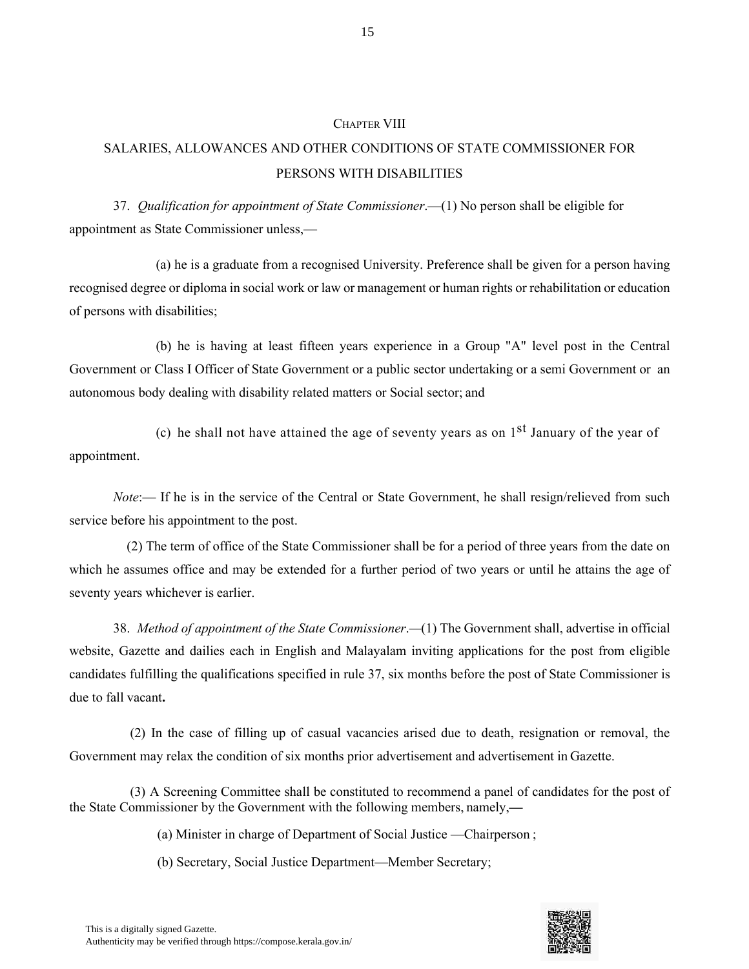#### CHAPTER VIII

# SALARIES, ALLOWANCES AND OTHER CONDITIONS OF STATE COMMISSIONER FOR PERSONS WITH DISABILITIES

37. *Qualification for appointment of State Commissioner*.—(1) No person shall be eligible for appointment as State Commissioner unless,—

(a) he is a graduate from a recognised University. Preference shall be given for a person having recognised degree or diploma in social work or law or management or human rights or rehabilitation or education of persons with disabilities;

(b) he is having at least fifteen years experience in a Group "A" level post in the Central Government or Class I Officer of State Government or a public sector undertaking or a semi Government or an autonomous body dealing with disability related matters or Social sector; and

appointment. (c) he shall not have attained the age of seventy years as on  $1<sup>st</sup>$  January of the year of

*Note*:— If he is in the service of the Central or State Government, he shall resign/relieved from such service before his appointment to the post.

(2) The term of office of the State Commissioner shall be for a period of three years from the date on which he assumes office and may be extended for a further period of two years or until he attains the age of seventy years whichever is earlier.

38. *Method of appointment of the State Commissioner*.*—*(1) The Government shall, advertise in official website, Gazette and dailies each in English and Malayalam inviting applications for the post from eligible candidates fulfilling the qualifications specified in rule 37, six months before the post of State Commissioner is due to fall vacant**.**

(2) In the case of filling up of casual vacancies arised due to death, resignation or removal, the Government may relax the condition of six months prior advertisement and advertisement in Gazette.

(3) A Screening Committee shall be constituted to recommend a panel of candidates for the post of the State Commissioner by the Government with the following members, namely,**—**

(a) Minister in charge of Department of Social Justice —Chairperson ;

(b) Secretary, Social Justice Department—Member Secretary;

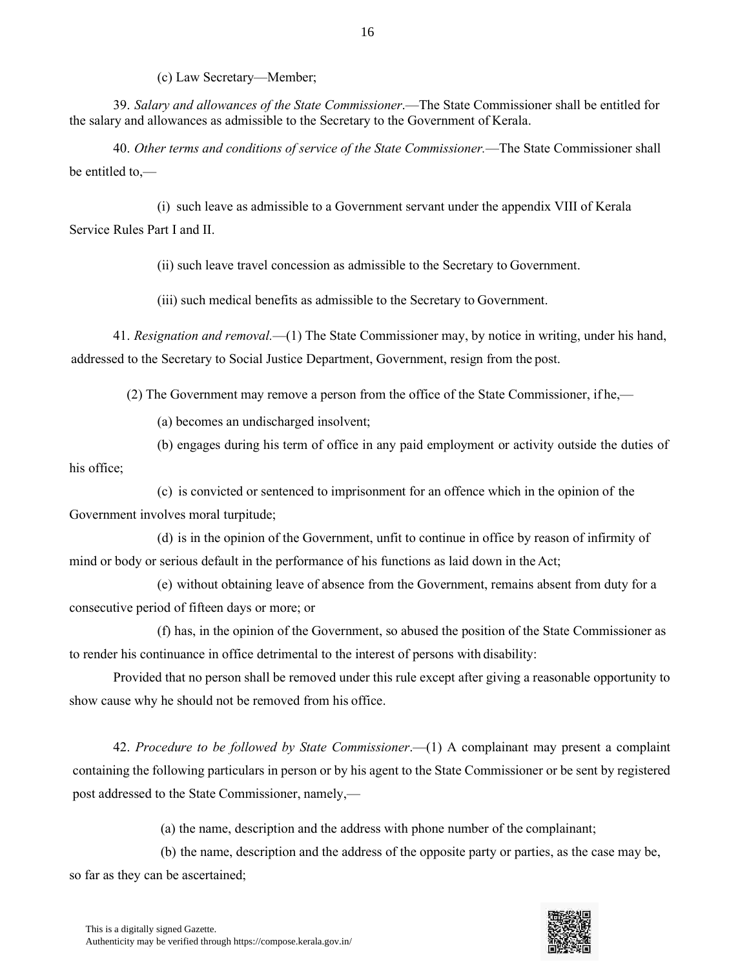(c) Law Secretary—Member;

39. *Salary and allowances of the State Commissioner*.—The State Commissioner shall be entitled for the salary and allowances as admissible to the Secretary to the Government of Kerala.

40. *Other terms and conditions of service of the State Commissioner.*—The State Commissioner shall be entitled to,—

(i) such leave as admissible to a Government servant under the appendix VIII of Kerala Service Rules Part I and II.

(ii) such leave travel concession as admissible to the Secretary to Government.

(iii) such medical benefits as admissible to the Secretary to Government.

41. *Resignation and removal.*—(1) The State Commissioner may, by notice in writing, under his hand, addressed to the Secretary to Social Justice Department, Government, resign from the post.

(2) The Government may remove a person from the office of the State Commissioner, if he,—

(a) becomes an undischarged insolvent;

his office; (b) engages during his term of office in any paid employment or activity outside the duties of

(c) is convicted or sentenced to imprisonment for an offence which in the opinion of the Government involves moral turpitude;

(d) is in the opinion of the Government, unfit to continue in office by reason of infirmity of mind or body or serious default in the performance of his functions as laid down in the Act;

(e) without obtaining leave of absence from the Government, remains absent from duty for a consecutive period of fifteen days or more; or

(f) has, in the opinion of the Government, so abused the position of the State Commissioner as to render his continuance in office detrimental to the interest of persons with disability:

Provided that no person shall be removed under this rule except after giving a reasonable opportunity to show cause why he should not be removed from his office.

42. *Procedure to be followed by State Commissioner*.—(1) A complainant may present a complaint containing the following particulars in person or by his agent to the State Commissioner or be sent by registered post addressed to the State Commissioner, namely,—

(a) the name, description and the address with phone number of the complainant;

(b) the name, description and the address of the opposite party or parties, as the case may be, so far as they can be ascertained;

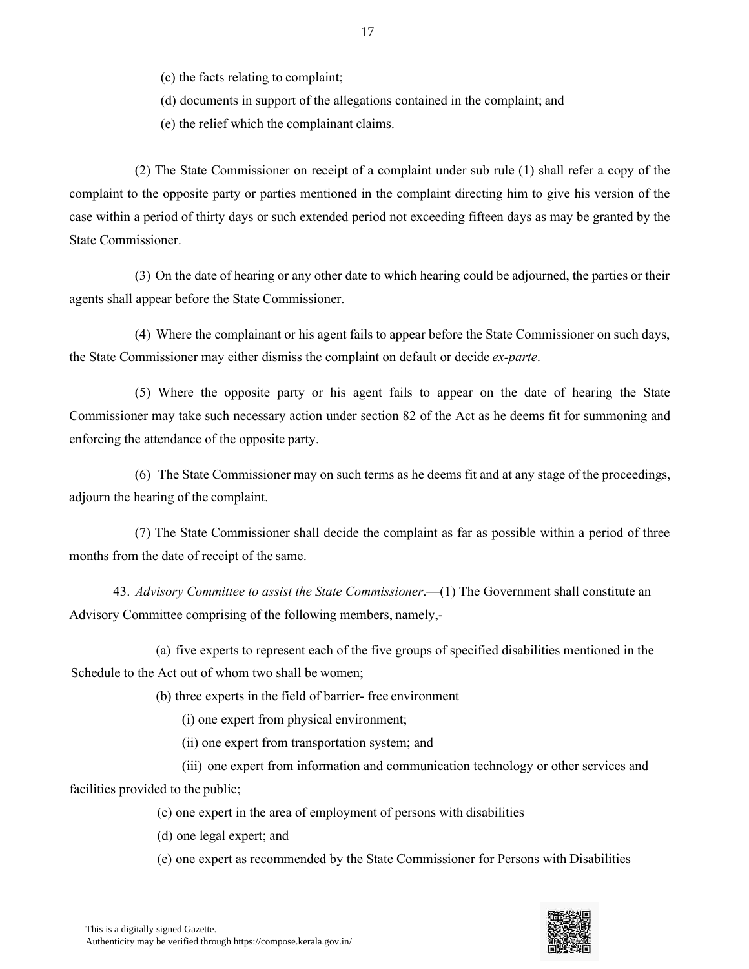(c) the facts relating to complaint;

(d) documents in support of the allegations contained in the complaint; and

(e) the relief which the complainant claims.

(2) The State Commissioner on receipt of a complaint under sub rule (1) shall refer a copy of the complaint to the opposite party or parties mentioned in the complaint directing him to give his version of the case within a period of thirty days or such extended period not exceeding fifteen days as may be granted by the State Commissioner.

(3) On the date of hearing or any other date to which hearing could be adjourned, the parties or their agents shall appear before the State Commissioner.

(4) Where the complainant or his agent fails to appear before the State Commissioner on such days, the State Commissioner may either dismiss the complaint on default or decide *ex-parte*.

(5) Where the opposite party or his agent fails to appear on the date of hearing the State Commissioner may take such necessary action under section 82 of the Act as he deems fit for summoning and enforcing the attendance of the opposite party.

(6) The State Commissioner may on such terms as he deems fit and at any stage of the proceedings, adjourn the hearing of the complaint.

(7) The State Commissioner shall decide the complaint as far as possible within a period of three months from the date of receipt of the same.

43. *Advisory Committee to assist the State Commissioner*.—(1) The Government shall constitute an Advisory Committee comprising of the following members, namely,-

(a) five experts to represent each of the five groups of specified disabilities mentioned in the Schedule to the Act out of whom two shall be women;

(b) three experts in the field of barrier- free environment

(i) one expert from physical environment;

(ii) one expert from transportation system; and

(iii) one expert from information and communication technology or other services and facilities provided to the public;

(c) one expert in the area of employment of persons with disabilities

(d) one legal expert; and

(e) one expert as recommended by the State Commissioner for Persons with Disabilities

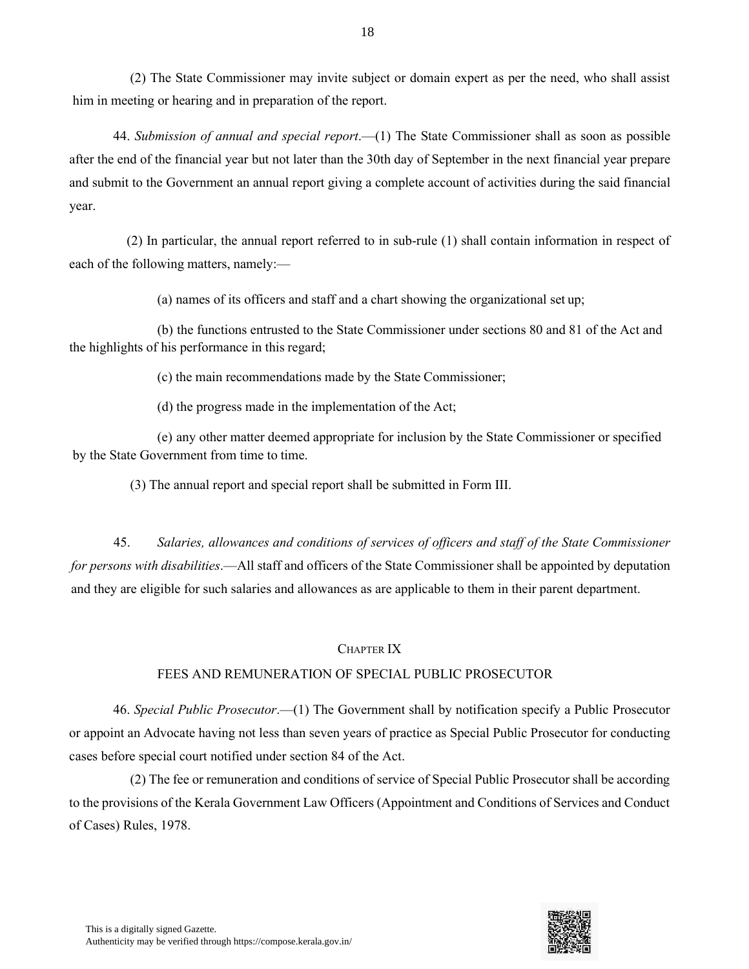(2) The State Commissioner may invite subject or domain expert as per the need, who shall assist him in meeting or hearing and in preparation of the report.

44. *Submission of annual and special report*.—(1) The State Commissioner shall as soon as possible after the end of the financial year but not later than the 30th day of September in the next financial year prepare and submit to the Government an annual report giving a complete account of activities during the said financial year.

(2) In particular, the annual report referred to in sub-rule (1) shall contain information in respect of each of the following matters, namely:—

(a) names of its officers and staff and a chart showing the organizational set up;

(b) the functions entrusted to the State Commissioner under sections 80 and 81 of the Act and the highlights of his performance in this regard;

(c) the main recommendations made by the State Commissioner;

(d) the progress made in the implementation of the Act;

(e) any other matter deemed appropriate for inclusion by the State Commissioner or specified by the State Government from time to time.

(3) The annual report and special report shall be submitted in Form III.

45. *Salaries, allowances and conditions of services of officers and staff of the State Commissioner for persons with disabilities*.—All staff and officers of the State Commissioner shall be appointed by deputation and they are eligible for such salaries and allowances as are applicable to them in their parent department.

#### CHAPTER IX

#### FEES AND REMUNERATION OF SPECIAL PUBLIC PROSECUTOR

46. *Special Public Prosecutor*.—(1) The Government shall by notification specify a Public Prosecutor or appoint an Advocate having not less than seven years of practice as Special Public Prosecutor for conducting cases before special court notified under section 84 of the Act.

(2) The fee or remuneration and conditions of service of Special Public Prosecutor shall be according to the provisions of the Kerala Government Law Officers (Appointment and Conditions of Services and Conduct of Cases) Rules, 1978.

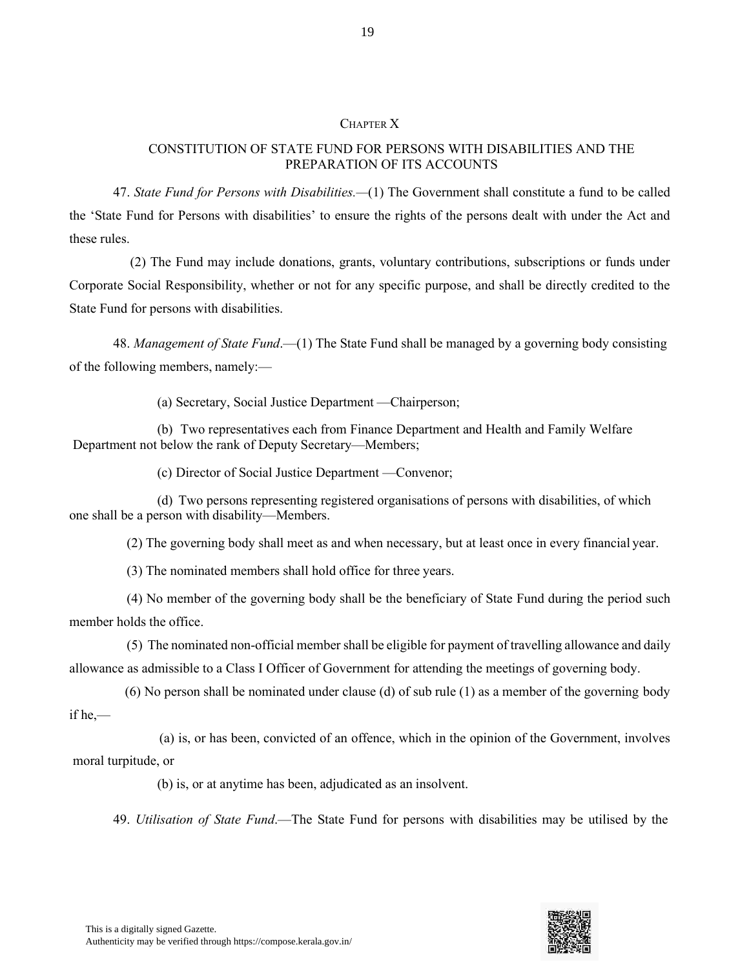#### CHAPTER X

19

#### CONSTITUTION OF STATE FUND FOR PERSONS WITH DISABILITIES AND THE PREPARATION OF ITS ACCOUNTS

47. *State Fund for Persons with Disabilities.—*(1) The Government shall constitute a fund to be called the 'State Fund for Persons with disabilities' to ensure the rights of the persons dealt with under the Act and these rules.

(2) The Fund may include donations, grants, voluntary contributions, subscriptions or funds under Corporate Social Responsibility, whether or not for any specific purpose, and shall be directly credited to the State Fund for persons with disabilities.

48. *Management of State Fund*.—(1) The State Fund shall be managed by a governing body consisting of the following members, namely:—

(a) Secretary, Social Justice Department —Chairperson;

(b) Two representatives each from Finance Department and Health and Family Welfare Department not below the rank of Deputy Secretary—Members;

(c) Director of Social Justice Department —Convenor;

(d) Two persons representing registered organisations of persons with disabilities, of which one shall be a person with disability—Members.

(2) The governing body shall meet as and when necessary, but at least once in every financial year.

(3) The nominated members shall hold office for three years.

(4) No member of the governing body shall be the beneficiary of State Fund during the period such member holds the office.

(5) The nominated non-official member shall be eligible for payment of travelling allowance and daily allowance as admissible to a Class I Officer of Government for attending the meetings of governing body.

if he,— (6) No person shall be nominated under clause (d) of sub rule (1) as a member of the governing body

(a) is, or has been, convicted of an offence, which in the opinion of the Government, involves moral turpitude, or

(b) is, or at anytime has been, adjudicated as an insolvent.

49. *Utilisation of State Fund*.—The State Fund for persons with disabilities may be utilised by the

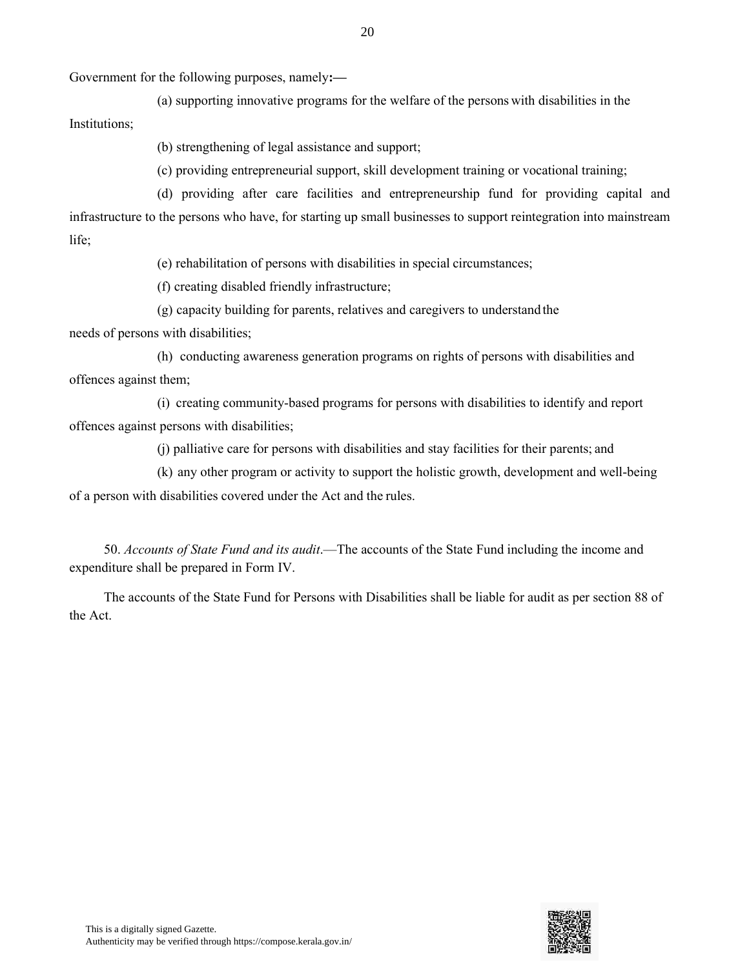Government for the following purposes, namely**:—**

(a) supporting innovative programs for the welfare of the persons with disabilities in the Institutions;

(b) strengthening of legal assistance and support;

(c) providing entrepreneurial support, skill development training or vocational training;

(d) providing after care facilities and entrepreneurship fund for providing capital and infrastructure to the persons who have, for starting up small businesses to support reintegration into mainstream life;

(e) rehabilitation of persons with disabilities in special circumstances;

(f) creating disabled friendly infrastructure;

(g) capacity building for parents, relatives and caregivers to understand the

needs of persons with disabilities;

(h) conducting awareness generation programs on rights of persons with disabilities and offences against them;

(i) creating community-based programs for persons with disabilities to identify and report offences against persons with disabilities;

(j) palliative care for persons with disabilities and stay facilities for their parents; and

(k) any other program or activity to support the holistic growth, development and well-being of a person with disabilities covered under the Act and the rules.

50. *Accounts of State Fund and its audit*.—The accounts of the State Fund including the income and expenditure shall be prepared in Form IV.

The accounts of the State Fund for Persons with Disabilities shall be liable for audit as per section 88 of the Act.

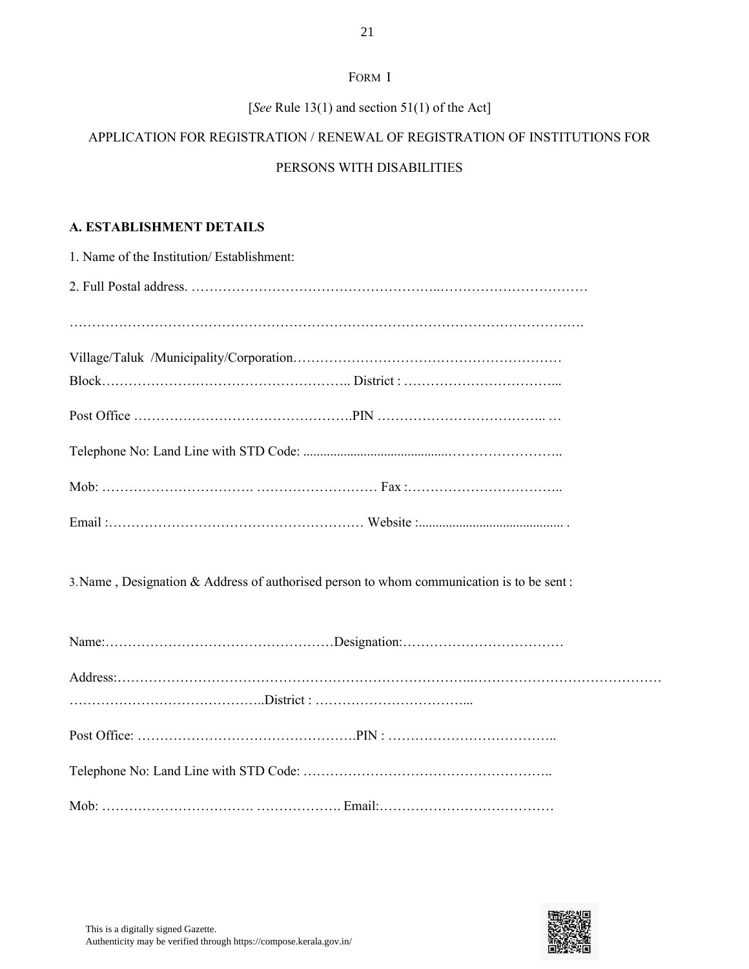#### FORM I

#### [*See* Rule 13(1) and section 51(1) of the Act]

# APPLICATION FOR REGISTRATION / RENEWAL OF REGISTRATION OF INSTITUTIONS FOR

### PERSONS WITH DISABILITIES

#### **A. ESTABLISHMENT DETAILS**

| 1. Name of the Institution/Establishment: |
|-------------------------------------------|
|                                           |
|                                           |
|                                           |
|                                           |
|                                           |
|                                           |
|                                           |
|                                           |
|                                           |

3.Name , Designation & Address of authorised person to whom communication is to be sent :

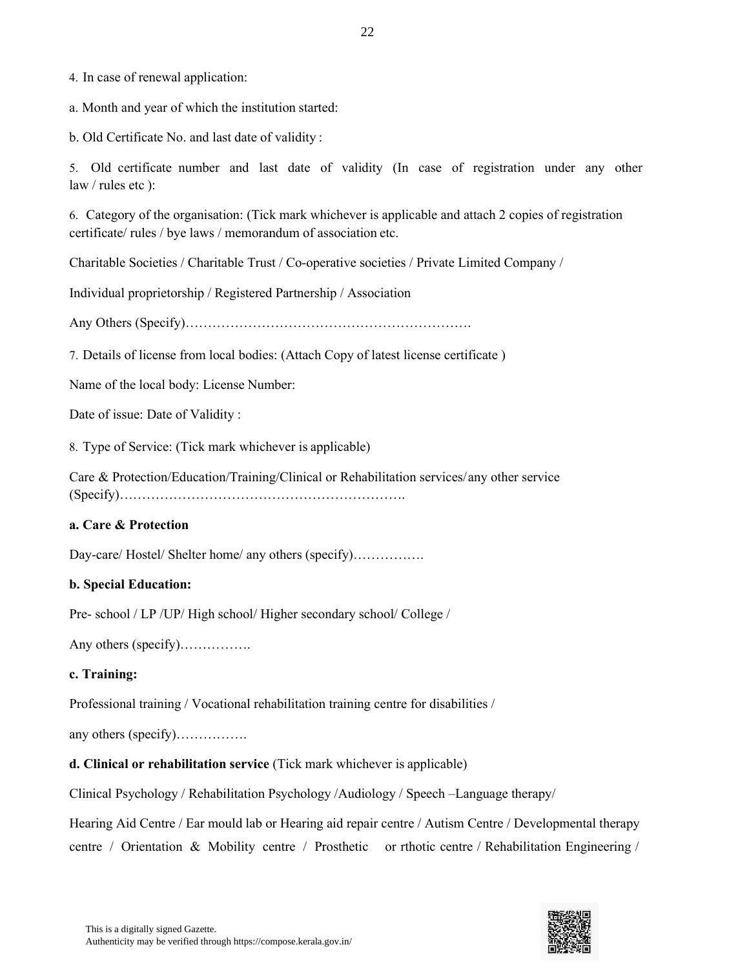4. In case of renewal application:

a. Month and year of which the institution started:

b. Old Certificate No. and last date of validity :

5. Old certificate number and last date of validity (In case of registration under any other law / rules etc ):

6. Category of the organisation: (Tick mark whichever is applicable and attach 2 copies of registration certificate/ rules / bye laws / memorandum of association etc.

Charitable Societies / Charitable Trust / Co-operative societies / Private Limited Company /

Individual proprietorship / Registered Partnership / Association

Any Others (Specify)……………………………………………………….

7. Details of license from local bodies: (Attach Copy of latest license certificate )

Name of the local body: License Number:

Date of issue: Date of Validity :

8. Type of Service: (Tick mark whichever is applicable)

Care & Protection/Education/Training/Clinical or Rehabilitation services/any other service (Specify)……………………………………………………….

#### **a. Care & Protection**

Day-care/ Hostel/ Shelter home/ any others (specify)……………

#### **b. Special Education:**

Pre- school / LP /UP/ High school/ Higher secondary school/ College /

Any others (specify)…………….

#### **c. Training:**

Professional training / Vocational rehabilitation training centre for disabilities /

any others (specify)…………….

#### **d. Clinical or rehabilitation service** (Tick mark whichever is applicable)

Clinical Psychology / Rehabilitation Psychology /Audiology / Speech –Language therapy/

Hearing Aid Centre / Ear mould lab or Hearing aid repair centre / Autism Centre / Developmental therapy centre / Orientation & Mobility centre / Prosthetic or rthotic centre / Rehabilitation Engineering /

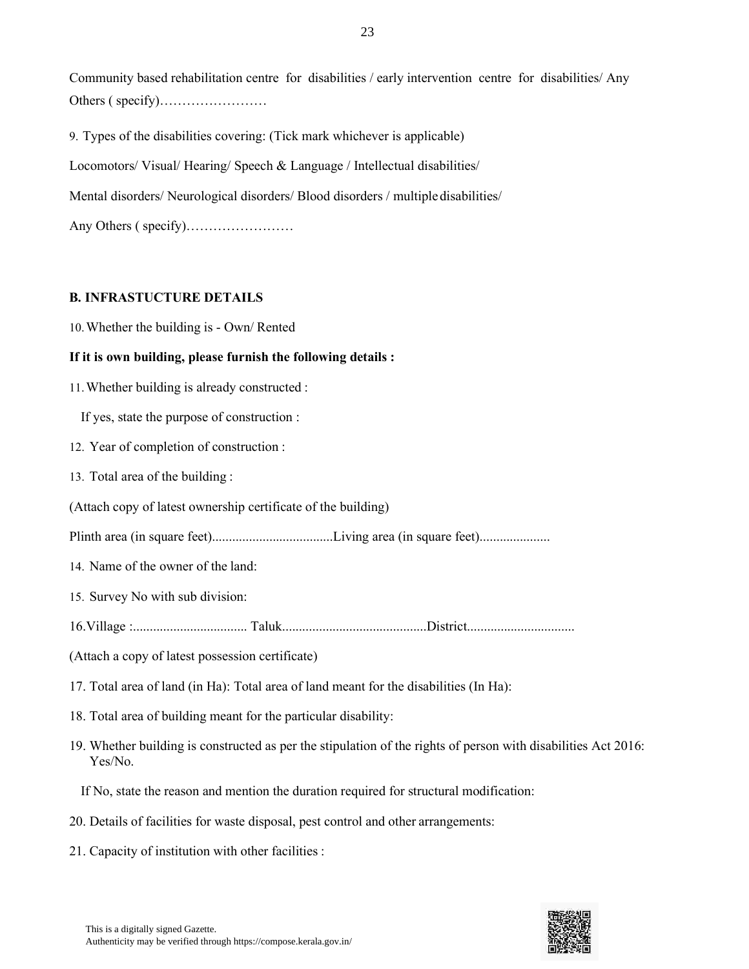Community based rehabilitation centre for disabilities / early intervention centre for disabilities/ Any Others ( specify)……………………

9. Types of the disabilities covering: (Tick mark whichever is applicable)

Locomotors/ Visual/ Hearing/ Speech & Language / Intellectual disabilities/

Mental disorders/ Neurological disorders/ Blood disorders / multipledisabilities/

Any Others ( specify)……………………

#### **B. INFRASTUCTURE DETAILS**

10.Whether the building is - Own/ Rented

#### **If it is own building, please furnish the following details :**

11.Whether building is already constructed :

If yes, state the purpose of construction :

- 12. Year of completion of construction :
- 13. Total area of the building :
- (Attach copy of latest ownership certificate of the building)
- Plinth area (in square feet)....................................Living area (in square feet).....................
- 14. Name of the owner of the land:
- 15. Survey No with sub division:
- 16.Village :.................................. Taluk...........................................District................................
- (Attach a copy of latest possession certificate)
- 17. Total area of land (in Ha): Total area of land meant for the disabilities (In Ha):
- 18. Total area of building meant for the particular disability:
- 19. Whether building is constructed as per the stipulation of the rights of person with disabilities Act 2016: Yes/No.
	- If No, state the reason and mention the duration required for structural modification:
- 20. Details of facilities for waste disposal, pest control and other arrangements:
- 21. Capacity of institution with other facilities :

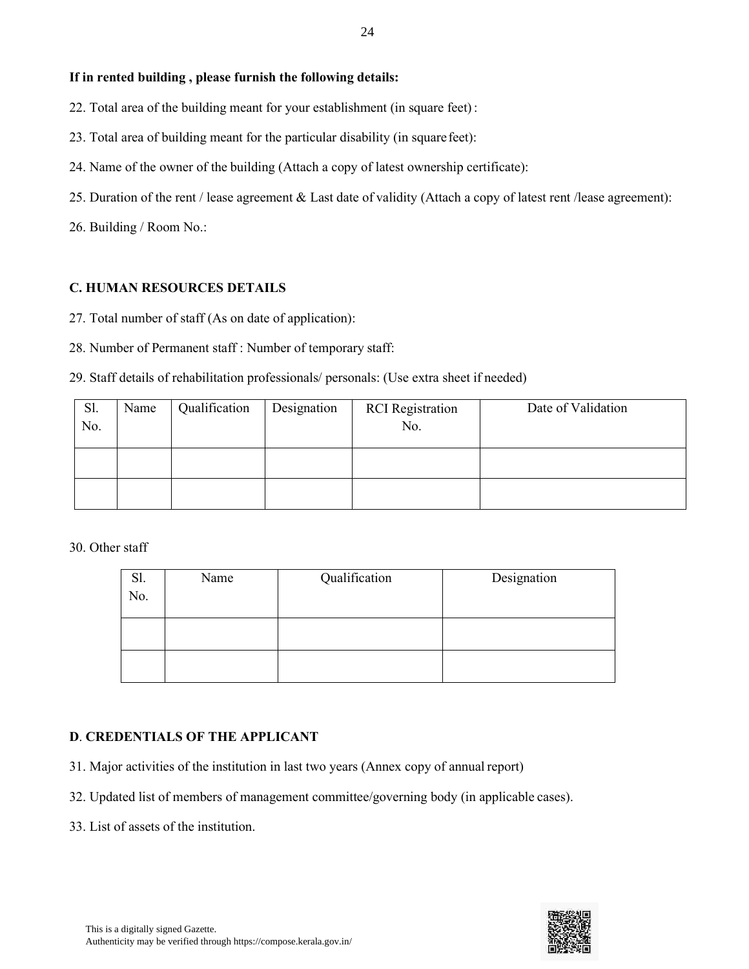- 22. Total area of the building meant for your establishment (in square feet):
- 23. Total area of building meant for the particular disability (in squarefeet):
- 24. Name of the owner of the building (Attach a copy of latest ownership certificate):
- 25. Duration of the rent / lease agreement & Last date of validity (Attach a copy of latest rent /lease agreement):

26. Building / Room No.:

### **C. HUMAN RESOURCES DETAILS**

- 27. Total number of staff (As on date of application):
- 28. Number of Permanent staff : Number of temporary staff:

### 29. Staff details of rehabilitation professionals/ personals: (Use extra sheet if needed)

| Sl.<br>No. | Name | Qualification | Designation | <b>RCI</b> Registration<br>No. | Date of Validation |
|------------|------|---------------|-------------|--------------------------------|--------------------|
|            |      |               |             |                                |                    |
|            |      |               |             |                                |                    |

#### 30. Other staff

| Name | Qualification | Designation |
|------|---------------|-------------|
|      |               |             |
|      |               |             |
|      |               |             |
|      |               |             |
|      |               |             |

## **D**. **CREDENTIALS OF THE APPLICANT**

- 31. Major activities of the institution in last two years (Annex copy of annual report)
- 32. Updated list of members of management committee/governing body (in applicable cases).
- 33. List of assets of the institution.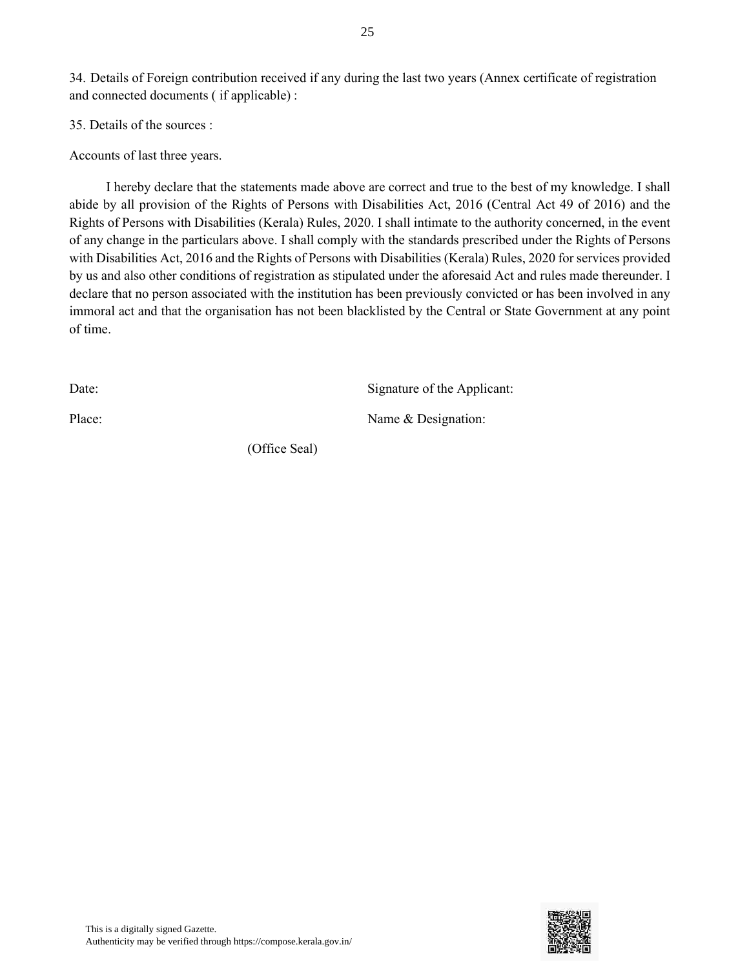34. Details of Foreign contribution received if any during the last two years (Annex certificate of registration and connected documents ( if applicable) :

25

35. Details of the sources :

Accounts of last three years.

I hereby declare that the statements made above are correct and true to the best of my knowledge. I shall abide by all provision of the Rights of Persons with Disabilities Act, 2016 (Central Act 49 of 2016) and the Rights of Persons with Disabilities (Kerala) Rules, 2020. I shall intimate to the authority concerned, in the event of any change in the particulars above. I shall comply with the standards prescribed under the Rights of Persons with Disabilities Act, 2016 and the Rights of Persons with Disabilities (Kerala) Rules, 2020 for services provided by us and also other conditions of registration as stipulated under the aforesaid Act and rules made thereunder. I declare that no person associated with the institution has been previously convicted or has been involved in any immoral act and that the organisation has not been blacklisted by the Central or State Government at any point of time.

Date: Signature of the Applicant:

Place: Name & Designation:

(Office Seal)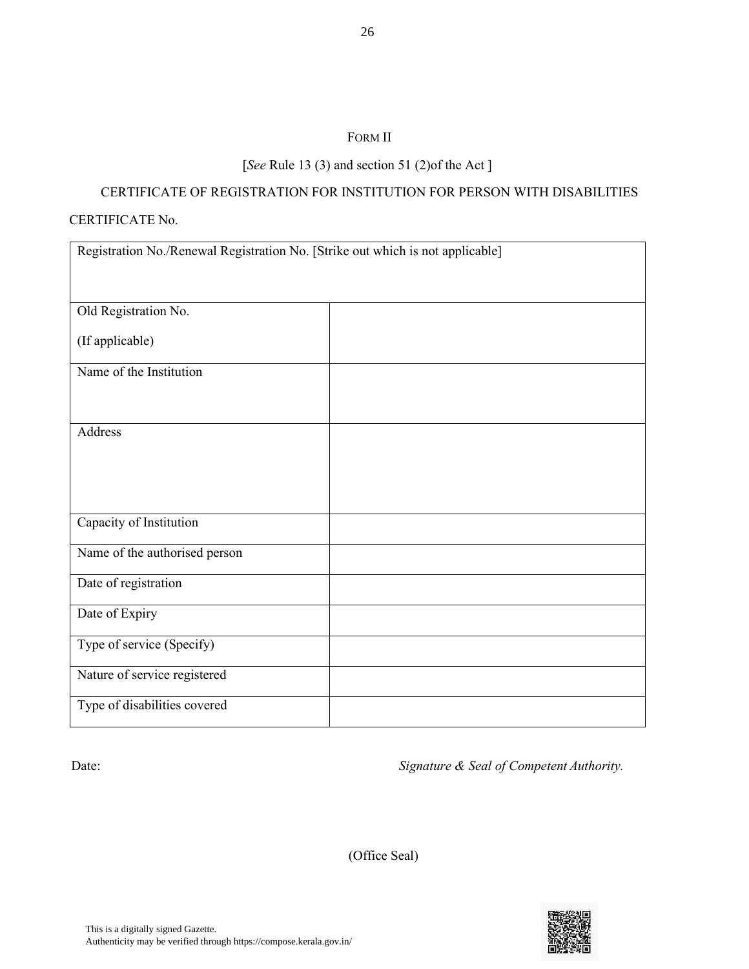#### FORM II

# [*See* Rule 13 (3) and section 51 (2)of the Act ]

# CERTIFICATE OF REGISTRATION FOR INSTITUTION FOR PERSON WITH DISABILITIES

#### CERTIFICATE No.

| Registration No./Renewal Registration No. [Strike out which is not applicable] |  |  |  |  |  |  |  |
|--------------------------------------------------------------------------------|--|--|--|--|--|--|--|
| Old Registration No.                                                           |  |  |  |  |  |  |  |
| (If applicable)                                                                |  |  |  |  |  |  |  |
| Name of the Institution                                                        |  |  |  |  |  |  |  |
| Address                                                                        |  |  |  |  |  |  |  |
| Capacity of Institution                                                        |  |  |  |  |  |  |  |
| Name of the authorised person                                                  |  |  |  |  |  |  |  |
| Date of registration                                                           |  |  |  |  |  |  |  |
| Date of Expiry                                                                 |  |  |  |  |  |  |  |
| Type of service (Specify)                                                      |  |  |  |  |  |  |  |
| Nature of service registered                                                   |  |  |  |  |  |  |  |
| Type of disabilities covered                                                   |  |  |  |  |  |  |  |

Date: **Date:** *Signature & Seal of Competent Authority.* 

(Office Seal)

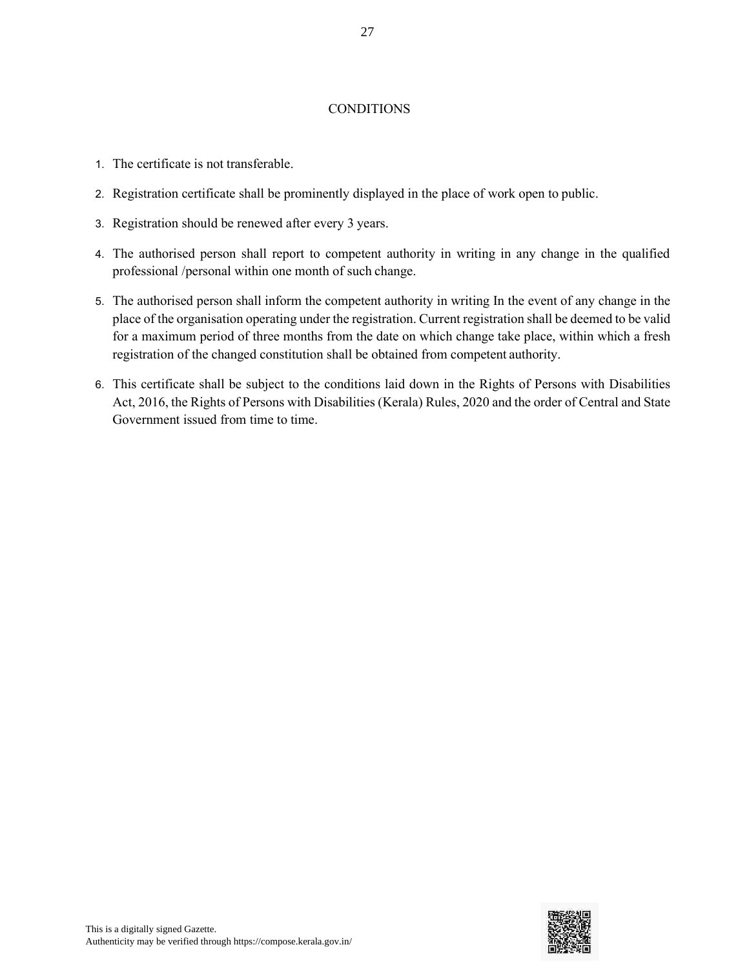#### CONDITIONS

- 1. The certificate is not transferable.
- 2. Registration certificate shall be prominently displayed in the place of work open to public.
- 3. Registration should be renewed after every 3 years.
- 4. The authorised person shall report to competent authority in writing in any change in the qualified professional /personal within one month of such change.
- 5. The authorised person shall inform the competent authority in writing In the event of any change in the place of the organisation operating under the registration. Current registration shall be deemed to be valid for a maximum period of three months from the date on which change take place, within which a fresh registration of the changed constitution shall be obtained from competent authority.
- 6. This certificate shall be subject to the conditions laid down in the Rights of Persons with Disabilities Act, 2016, the Rights of Persons with Disabilities (Kerala) Rules, 2020 and the order of Central and State Government issued from time to time.

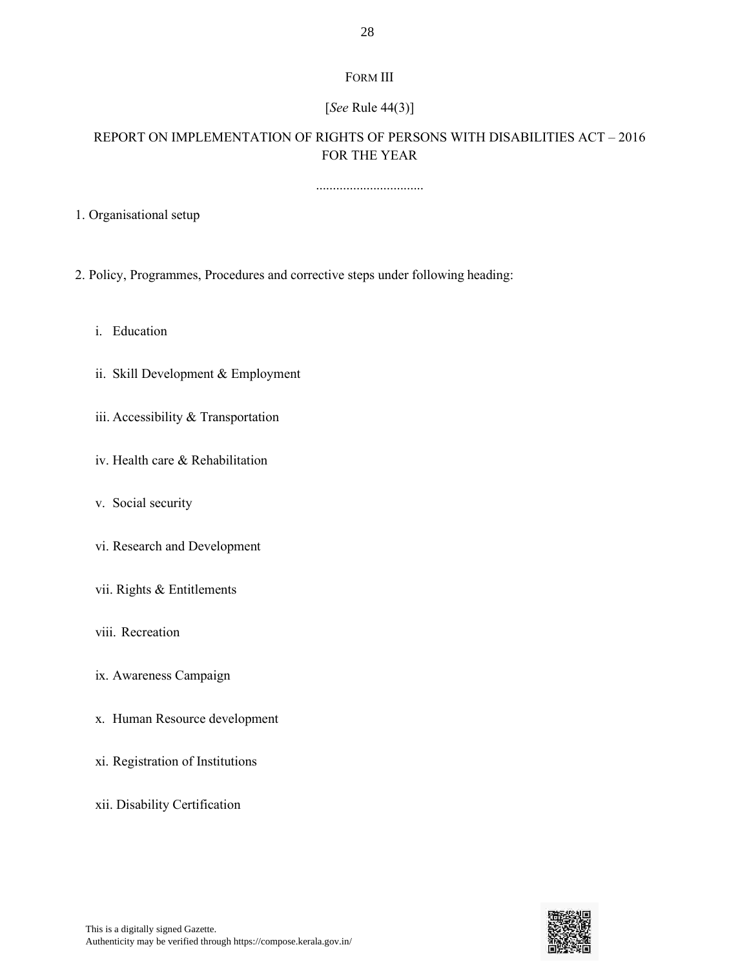# FORM III

# [*See* Rule 44(3)]

# REPORT ON IMPLEMENTATION OF RIGHTS OF PERSONS WITH DISABILITIES ACT – 2016 FOR THE YEAR

................................

1. Organisational setup

2. Policy, Programmes, Procedures and corrective steps under following heading:

i. Education

ii. Skill Development & Employment

iii. Accessibility & Transportation

iv. Health care & Rehabilitation

v. Social security

vi. Research and Development

vii. Rights & Entitlements

viii. Recreation

ix. Awareness Campaign

x. Human Resource development

xi. Registration of Institutions

xii. Disability Certification

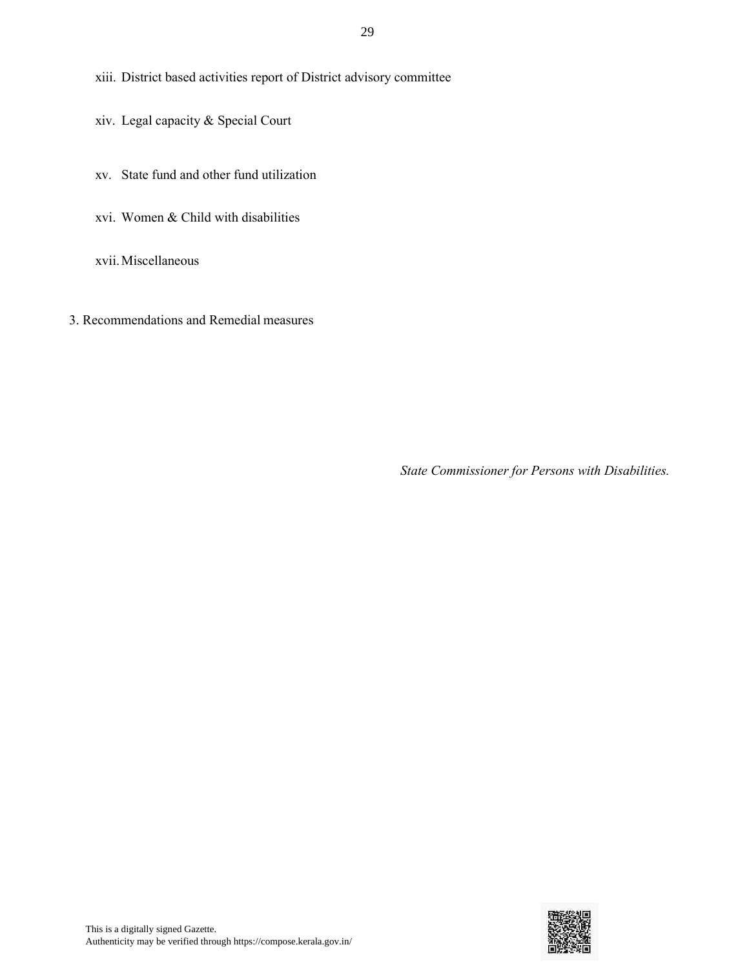xiii. District based activities report of District advisory committee

- xiv. Legal capacity & Special Court
- xv. State fund and other fund utilization
- xvi. Women & Child with disabilities

xvii.Miscellaneous

3. Recommendations and Remedial measures

*State Commissioner for Persons with Disabilities.*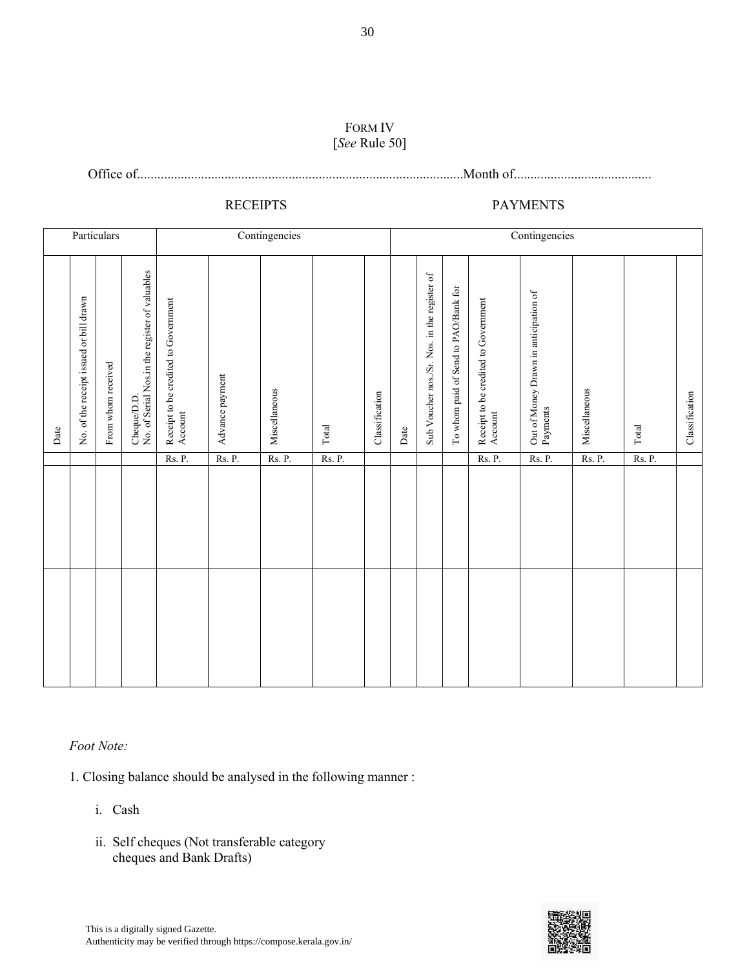#### FORM IV [*See* Rule 50]

Office of.................................................................................................Month of.........................................

# RECEIPTS PAYMENTS

| Particulars |                                         |                    |                                                               | Contingencies                                   |                 |               |             | Contingencies  |      |                                              |                                      |                                                 |                                                   |               |               |                |
|-------------|-----------------------------------------|--------------------|---------------------------------------------------------------|-------------------------------------------------|-----------------|---------------|-------------|----------------|------|----------------------------------------------|--------------------------------------|-------------------------------------------------|---------------------------------------------------|---------------|---------------|----------------|
| Date        | No. of the receipt issued or bill drawn | From whom received | Cheque/D.D.<br>No. of Serial Nos.in the register of valuables | Receipt to be credited to Government<br>Account | Advance payment | Miscellaneous | $\rm Total$ | Classification | Date | Sub Voucher nos./Sr. Nos. in the register of | To whom paid of Send to PAO/Bank for | Receipt to be credited to Government<br>Account | Out of Money Drawn in anticipation of<br>Payments | Miscellaneous | Total         | Classification |
|             |                                         |                    |                                                               | Rs. P.                                          | <b>Rs. P.</b>   | Rs. P.        | Rs. P.      |                |      |                                              |                                      | Rs. P.                                          | Rs. P.                                            | <b>Rs. P.</b> | <b>Rs. P.</b> |                |
|             |                                         |                    |                                                               |                                                 |                 |               |             |                |      |                                              |                                      |                                                 |                                                   |               |               |                |
|             |                                         |                    |                                                               |                                                 |                 |               |             |                |      |                                              |                                      |                                                 |                                                   |               |               |                |

#### *Foot Note:*

1. Closing balance should be analysed in the following manner :

- i. Cash
- ii. Self cheques (Not transferable category cheques and Bank Drafts)